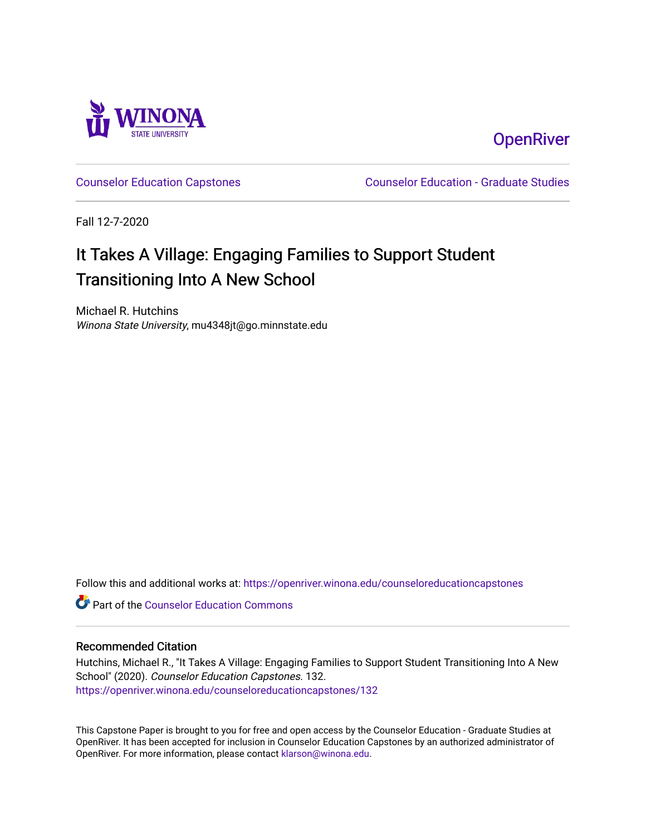

# **OpenRiver**

[Counselor Education Capstones](https://openriver.winona.edu/counseloreducationcapstones) [Counselor Education - Graduate Studies](https://openriver.winona.edu/counseloreducation) 

Fall 12-7-2020

# It Takes A Village: Engaging Families to Support Student Transitioning Into A New School

Michael R. Hutchins Winona State University, mu4348jt@go.minnstate.edu

Follow this and additional works at: [https://openriver.winona.edu/counseloreducationcapstones](https://openriver.winona.edu/counseloreducationcapstones?utm_source=openriver.winona.edu%2Fcounseloreducationcapstones%2F132&utm_medium=PDF&utm_campaign=PDFCoverPages)

**C** Part of the Counselor Education Commons

#### Recommended Citation

Hutchins, Michael R., "It Takes A Village: Engaging Families to Support Student Transitioning Into A New School" (2020). Counselor Education Capstones. 132. [https://openriver.winona.edu/counseloreducationcapstones/132](https://openriver.winona.edu/counseloreducationcapstones/132?utm_source=openriver.winona.edu%2Fcounseloreducationcapstones%2F132&utm_medium=PDF&utm_campaign=PDFCoverPages)

This Capstone Paper is brought to you for free and open access by the Counselor Education - Graduate Studies at OpenRiver. It has been accepted for inclusion in Counselor Education Capstones by an authorized administrator of OpenRiver. For more information, please contact [klarson@winona.edu](mailto:klarson@winona.edu).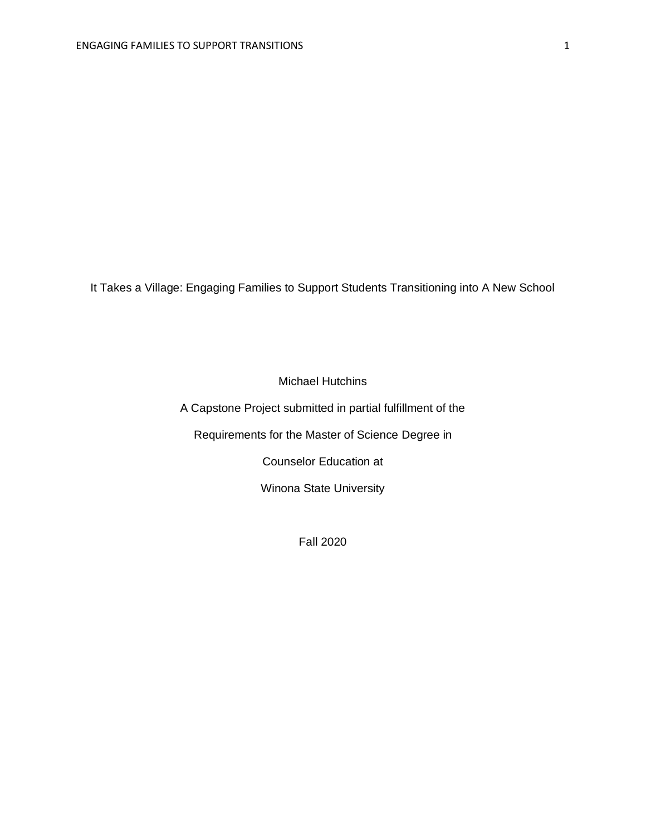It Takes a Village: Engaging Families to Support Students Transitioning into A New School

Michael Hutchins

A Capstone Project submitted in partial fulfillment of the

Requirements for the Master of Science Degree in

Counselor Education at

Winona State University

Fall 2020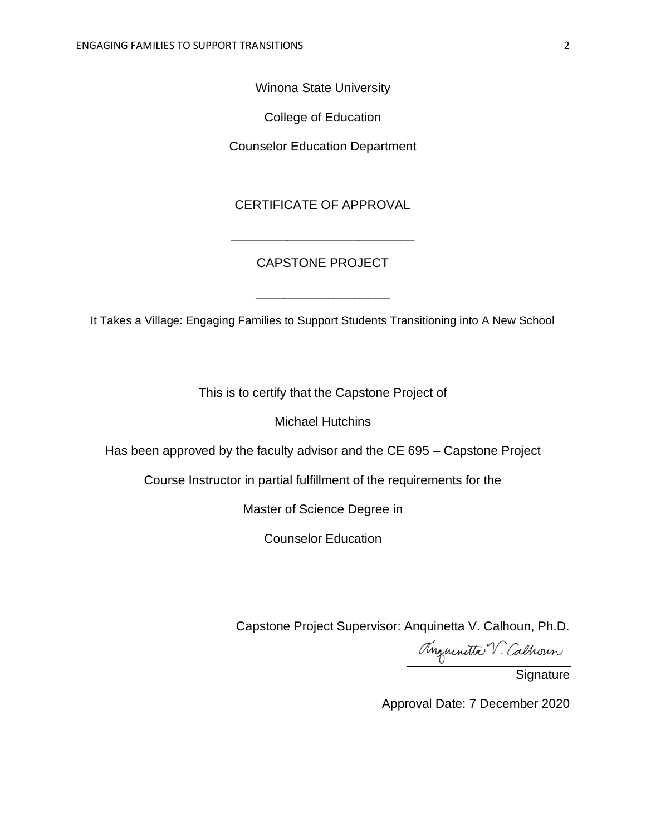Winona State University

College of Education

Counselor Education Department

### CERTIFICATE OF APPROVAL

## CAPSTONE PROJECT

\_\_\_\_\_\_\_\_\_\_\_\_\_\_\_\_\_\_\_\_\_\_\_\_\_\_

It Takes a Village: Engaging Families to Support Students Transitioning into A New School

\_\_\_\_\_\_\_\_\_\_\_\_\_\_\_\_\_\_\_

This is to certify that the Capstone Project of

Michael Hutchins

Has been approved by the faculty advisor and the CE 695 – Capstone Project

Course Instructor in partial fulfillment of the requirements for the

Master of Science Degree in

Counselor Education

Capstone Project Supervisor: Anquinetta V. Calhoun, Ph.D.

Anguinitta V. Calhoun

**Signature** 

Approval Date: 7 December 2020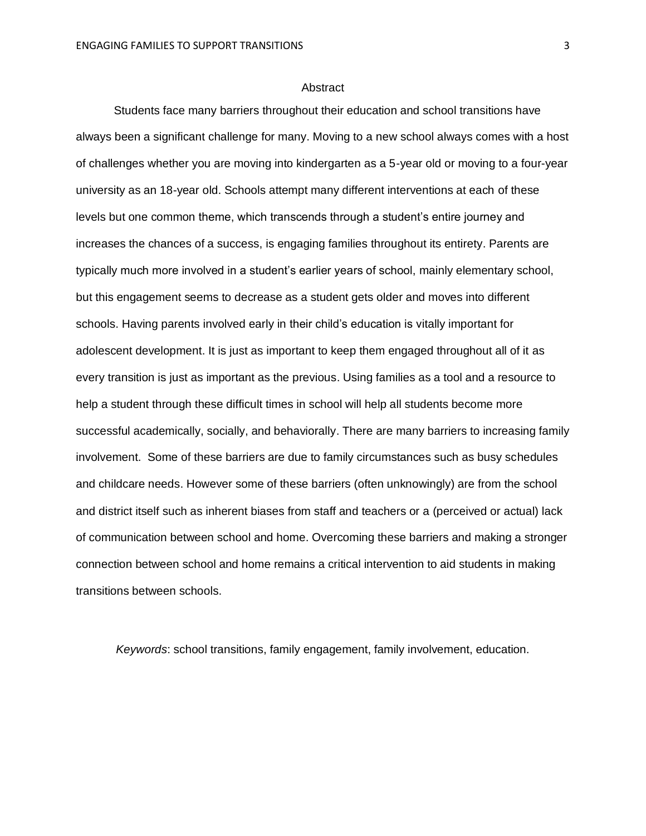#### Abstract

Students face many barriers throughout their education and school transitions have always been a significant challenge for many. Moving to a new school always comes with a host of challenges whether you are moving into kindergarten as a 5-year old or moving to a four-year university as an 18-year old. Schools attempt many different interventions at each of these levels but one common theme, which transcends through a student's entire journey and increases the chances of a success, is engaging families throughout its entirety. Parents are typically much more involved in a student's earlier years of school, mainly elementary school, but this engagement seems to decrease as a student gets older and moves into different schools. Having parents involved early in their child's education is vitally important for adolescent development. It is just as important to keep them engaged throughout all of it as every transition is just as important as the previous. Using families as a tool and a resource to help a student through these difficult times in school will help all students become more successful academically, socially, and behaviorally. There are many barriers to increasing family involvement. Some of these barriers are due to family circumstances such as busy schedules and childcare needs. However some of these barriers (often unknowingly) are from the school and district itself such as inherent biases from staff and teachers or a (perceived or actual) lack of communication between school and home. Overcoming these barriers and making a stronger connection between school and home remains a critical intervention to aid students in making transitions between schools.

*Keywords*: school transitions, family engagement, family involvement, education.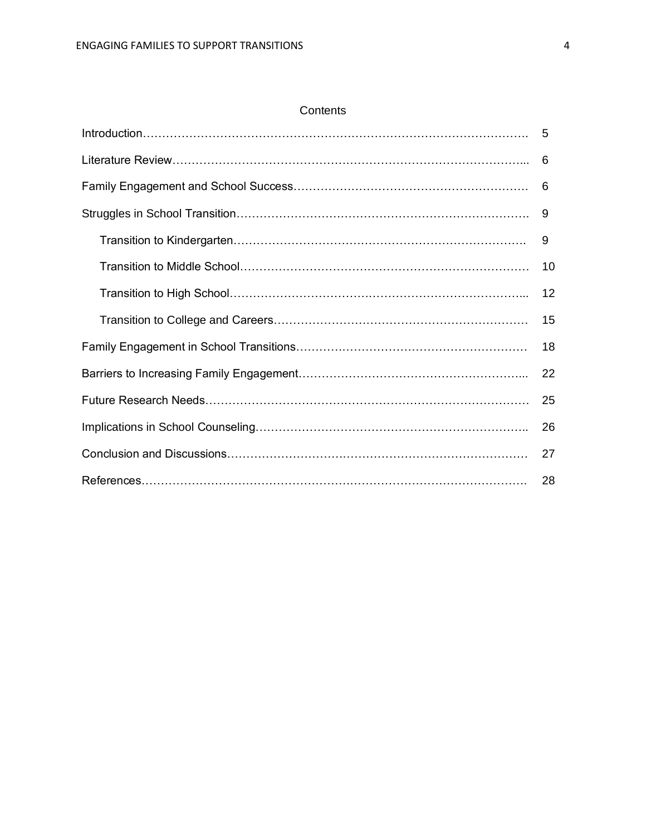#### **Contents**

| 6  |
|----|
| 6  |
| -9 |
| 9  |
| 10 |
| 12 |
| 15 |
| 18 |
| 22 |
| 25 |
| 26 |
| 27 |
| 28 |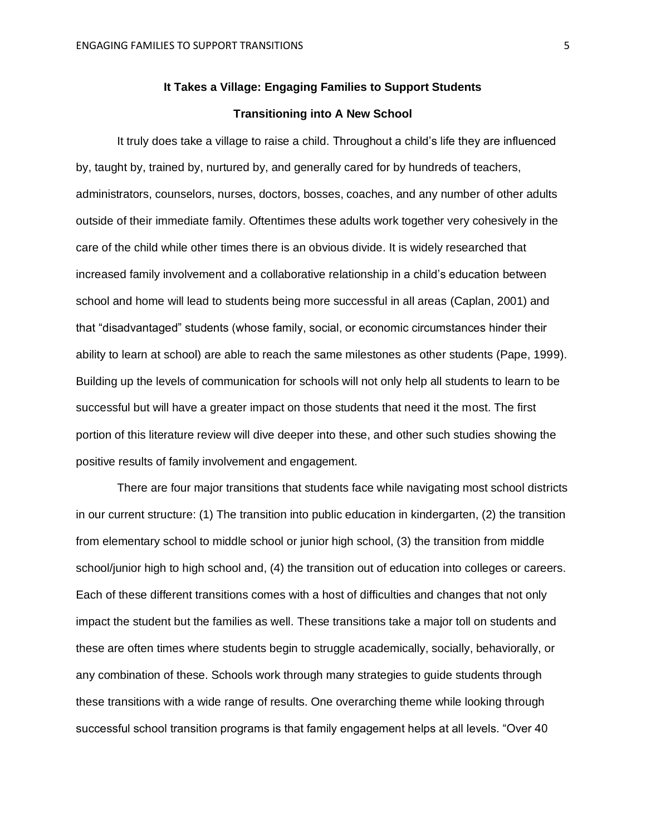## **It Takes a Village: Engaging Families to Support Students Transitioning into A New School**

It truly does take a village to raise a child. Throughout a child's life they are influenced by, taught by, trained by, nurtured by, and generally cared for by hundreds of teachers, administrators, counselors, nurses, doctors, bosses, coaches, and any number of other adults outside of their immediate family. Oftentimes these adults work together very cohesively in the care of the child while other times there is an obvious divide. It is widely researched that increased family involvement and a collaborative relationship in a child's education between school and home will lead to students being more successful in all areas (Caplan, 2001) and that "disadvantaged" students (whose family, social, or economic circumstances hinder their ability to learn at school) are able to reach the same milestones as other students (Pape, 1999). Building up the levels of communication for schools will not only help all students to learn to be successful but will have a greater impact on those students that need it the most. The first portion of this literature review will dive deeper into these, and other such studies showing the positive results of family involvement and engagement.

There are four major transitions that students face while navigating most school districts in our current structure: (1) The transition into public education in kindergarten, (2) the transition from elementary school to middle school or junior high school, (3) the transition from middle school/junior high to high school and, (4) the transition out of education into colleges or careers. Each of these different transitions comes with a host of difficulties and changes that not only impact the student but the families as well. These transitions take a major toll on students and these are often times where students begin to struggle academically, socially, behaviorally, or any combination of these. Schools work through many strategies to guide students through these transitions with a wide range of results. One overarching theme while looking through successful school transition programs is that family engagement helps at all levels. "Over 40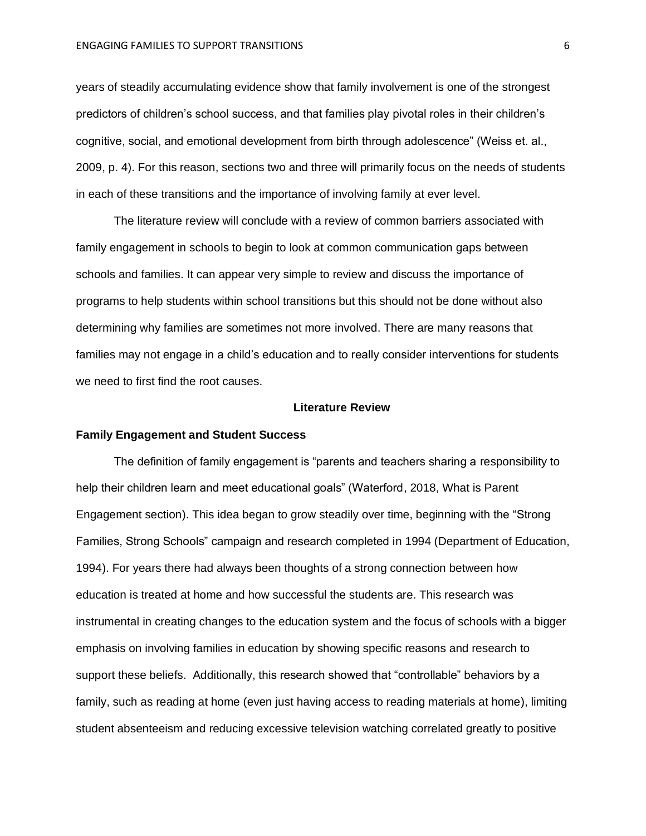years of steadily accumulating evidence show that family involvement is one of the strongest predictors of children's school success, and that families play pivotal roles in their children's cognitive, social, and emotional development from birth through adolescence" (Weiss et. al., 2009, p. 4). For this reason, sections two and three will primarily focus on the needs of students in each of these transitions and the importance of involving family at ever level.

The literature review will conclude with a review of common barriers associated with family engagement in schools to begin to look at common communication gaps between schools and families. It can appear very simple to review and discuss the importance of programs to help students within school transitions but this should not be done without also determining why families are sometimes not more involved. There are many reasons that families may not engage in a child's education and to really consider interventions for students we need to first find the root causes.

#### **Literature Review**

#### **Family Engagement and Student Success**

The definition of family engagement is "parents and teachers sharing a responsibility to help their children learn and meet educational goals" (Waterford, 2018, What is Parent Engagement section). This idea began to grow steadily over time, beginning with the "Strong Families, Strong Schools" campaign and research completed in 1994 (Department of Education, 1994). For years there had always been thoughts of a strong connection between how education is treated at home and how successful the students are. This research was instrumental in creating changes to the education system and the focus of schools with a bigger emphasis on involving families in education by showing specific reasons and research to support these beliefs. Additionally, this research showed that "controllable" behaviors by a family, such as reading at home (even just having access to reading materials at home), limiting student absenteeism and reducing excessive television watching correlated greatly to positive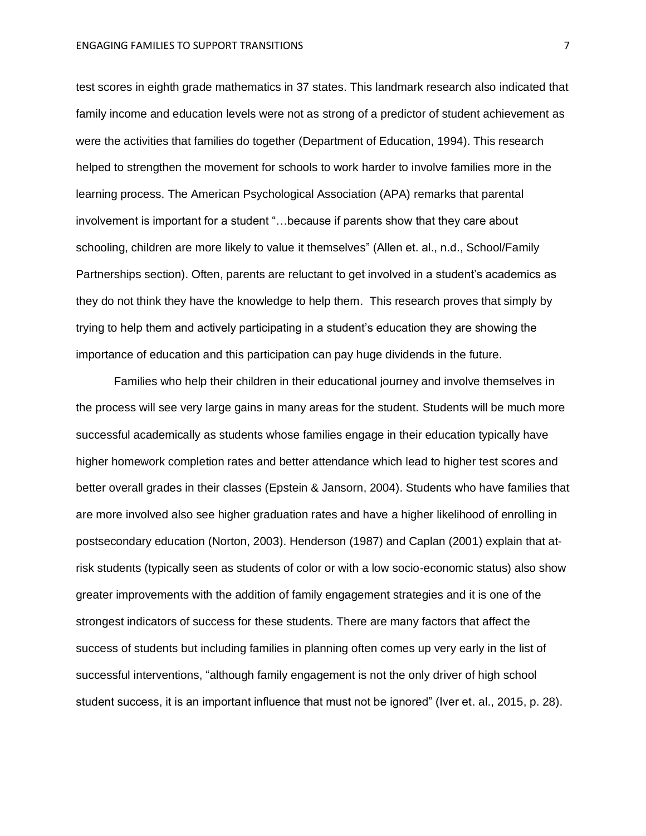test scores in eighth grade mathematics in 37 states. This landmark research also indicated that family income and education levels were not as strong of a predictor of student achievement as were the activities that families do together (Department of Education, 1994). This research helped to strengthen the movement for schools to work harder to involve families more in the learning process. The American Psychological Association (APA) remarks that parental involvement is important for a student "…because if parents show that they care about schooling, children are more likely to value it themselves" (Allen et. al., n.d., School/Family Partnerships section). Often, parents are reluctant to get involved in a student's academics as they do not think they have the knowledge to help them. This research proves that simply by trying to help them and actively participating in a student's education they are showing the importance of education and this participation can pay huge dividends in the future.

Families who help their children in their educational journey and involve themselves in the process will see very large gains in many areas for the student. Students will be much more successful academically as students whose families engage in their education typically have higher homework completion rates and better attendance which lead to higher test scores and better overall grades in their classes (Epstein & Jansorn, 2004). Students who have families that are more involved also see higher graduation rates and have a higher likelihood of enrolling in postsecondary education (Norton, 2003). Henderson (1987) and Caplan (2001) explain that atrisk students (typically seen as students of color or with a low socio-economic status) also show greater improvements with the addition of family engagement strategies and it is one of the strongest indicators of success for these students. There are many factors that affect the success of students but including families in planning often comes up very early in the list of successful interventions, "although family engagement is not the only driver of high school student success, it is an important influence that must not be ignored" (Iver et. al., 2015, p. 28).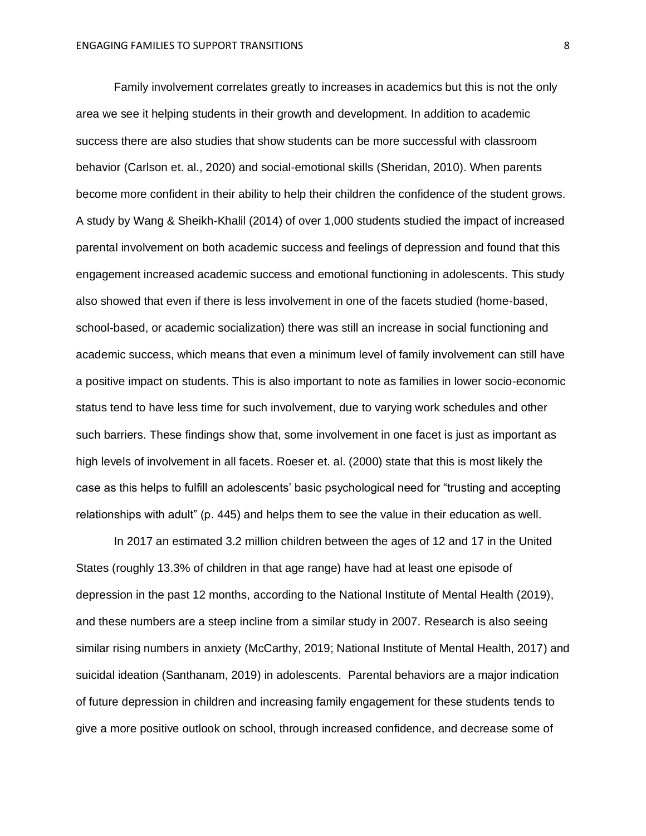Family involvement correlates greatly to increases in academics but this is not the only area we see it helping students in their growth and development. In addition to academic success there are also studies that show students can be more successful with classroom behavior (Carlson et. al., 2020) and social-emotional skills (Sheridan, 2010). When parents become more confident in their ability to help their children the confidence of the student grows. A study by Wang & Sheikh-Khalil (2014) of over 1,000 students studied the impact of increased parental involvement on both academic success and feelings of depression and found that this engagement increased academic success and emotional functioning in adolescents. This study also showed that even if there is less involvement in one of the facets studied (home-based, school-based, or academic socialization) there was still an increase in social functioning and academic success, which means that even a minimum level of family involvement can still have a positive impact on students. This is also important to note as families in lower socio-economic status tend to have less time for such involvement, due to varying work schedules and other such barriers. These findings show that, some involvement in one facet is just as important as high levels of involvement in all facets. Roeser et. al. (2000) state that this is most likely the case as this helps to fulfill an adolescents' basic psychological need for "trusting and accepting relationships with adult" (p. 445) and helps them to see the value in their education as well.

In 2017 an estimated 3.2 million children between the ages of 12 and 17 in the United States (roughly 13.3% of children in that age range) have had at least one episode of depression in the past 12 months, according to the National Institute of Mental Health (2019), and these numbers are a steep incline from a similar study in 2007. Research is also seeing similar rising numbers in anxiety (McCarthy, 2019; National Institute of Mental Health, 2017) and suicidal ideation (Santhanam, 2019) in adolescents. Parental behaviors are a major indication of future depression in children and increasing family engagement for these students tends to give a more positive outlook on school, through increased confidence, and decrease some of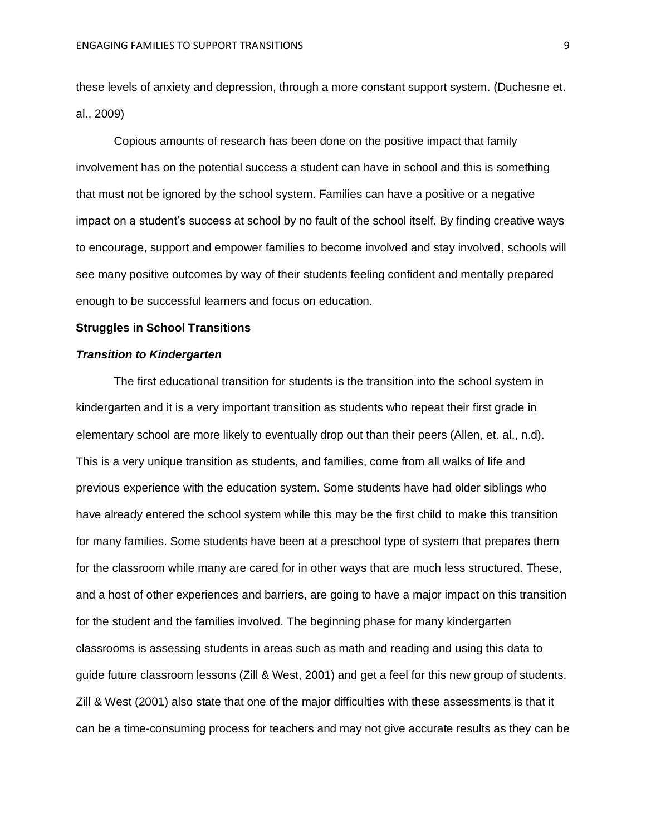these levels of anxiety and depression, through a more constant support system. (Duchesne et. al., 2009)

Copious amounts of research has been done on the positive impact that family involvement has on the potential success a student can have in school and this is something that must not be ignored by the school system. Families can have a positive or a negative impact on a student's success at school by no fault of the school itself. By finding creative ways to encourage, support and empower families to become involved and stay involved, schools will see many positive outcomes by way of their students feeling confident and mentally prepared enough to be successful learners and focus on education.

#### **Struggles in School Transitions**

#### *Transition to Kindergarten*

The first educational transition for students is the transition into the school system in kindergarten and it is a very important transition as students who repeat their first grade in elementary school are more likely to eventually drop out than their peers (Allen, et. al., n.d). This is a very unique transition as students, and families, come from all walks of life and previous experience with the education system. Some students have had older siblings who have already entered the school system while this may be the first child to make this transition for many families. Some students have been at a preschool type of system that prepares them for the classroom while many are cared for in other ways that are much less structured. These, and a host of other experiences and barriers, are going to have a major impact on this transition for the student and the families involved. The beginning phase for many kindergarten classrooms is assessing students in areas such as math and reading and using this data to guide future classroom lessons (Zill & West, 2001) and get a feel for this new group of students. Zill & West (2001) also state that one of the major difficulties with these assessments is that it can be a time-consuming process for teachers and may not give accurate results as they can be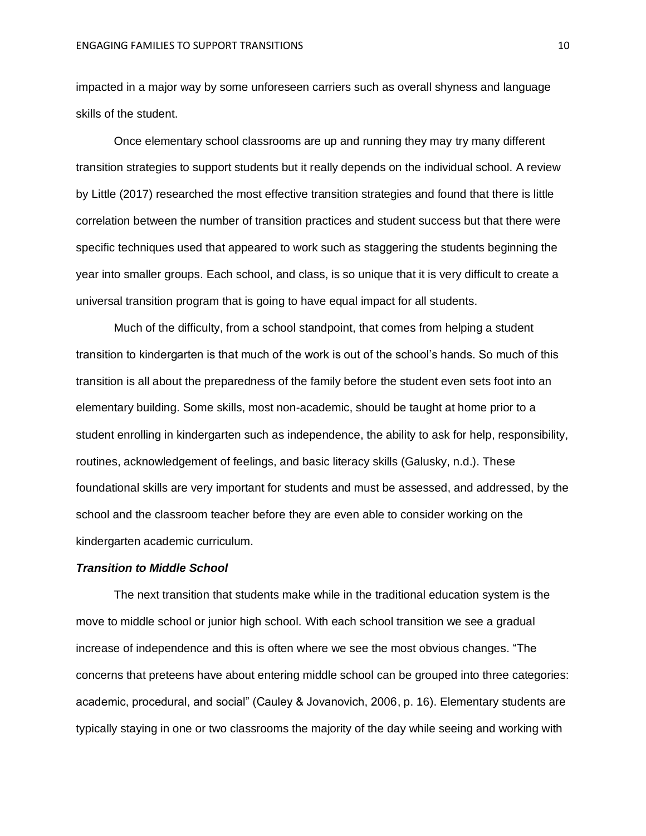impacted in a major way by some unforeseen carriers such as overall shyness and language skills of the student.

Once elementary school classrooms are up and running they may try many different transition strategies to support students but it really depends on the individual school. A review by Little (2017) researched the most effective transition strategies and found that there is little correlation between the number of transition practices and student success but that there were specific techniques used that appeared to work such as staggering the students beginning the year into smaller groups. Each school, and class, is so unique that it is very difficult to create a universal transition program that is going to have equal impact for all students.

Much of the difficulty, from a school standpoint, that comes from helping a student transition to kindergarten is that much of the work is out of the school's hands. So much of this transition is all about the preparedness of the family before the student even sets foot into an elementary building. Some skills, most non-academic, should be taught at home prior to a student enrolling in kindergarten such as independence, the ability to ask for help, responsibility, routines, acknowledgement of feelings, and basic literacy skills (Galusky, n.d.). These foundational skills are very important for students and must be assessed, and addressed, by the school and the classroom teacher before they are even able to consider working on the kindergarten academic curriculum.

#### *Transition to Middle School*

The next transition that students make while in the traditional education system is the move to middle school or junior high school. With each school transition we see a gradual increase of independence and this is often where we see the most obvious changes. "The concerns that preteens have about entering middle school can be grouped into three categories: academic, procedural, and social" (Cauley & Jovanovich, 2006, p. 16). Elementary students are typically staying in one or two classrooms the majority of the day while seeing and working with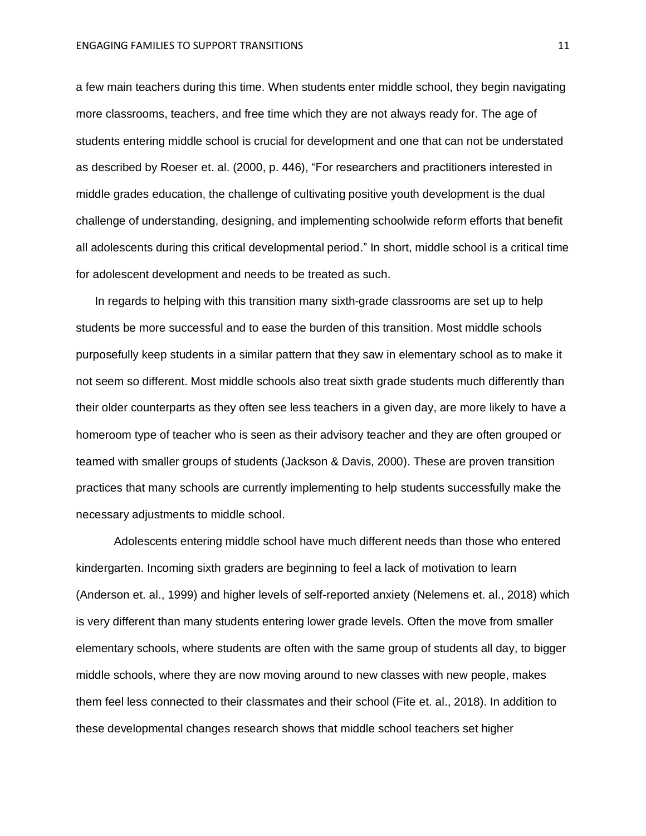a few main teachers during this time. When students enter middle school, they begin navigating more classrooms, teachers, and free time which they are not always ready for. The age of students entering middle school is crucial for development and one that can not be understated as described by Roeser et. al. (2000, p. 446), "For researchers and practitioners interested in middle grades education, the challenge of cultivating positive youth development is the dual challenge of understanding, designing, and implementing schoolwide reform efforts that benefit all adolescents during this critical developmental period." In short, middle school is a critical time for adolescent development and needs to be treated as such.

In regards to helping with this transition many sixth-grade classrooms are set up to help students be more successful and to ease the burden of this transition. Most middle schools purposefully keep students in a similar pattern that they saw in elementary school as to make it not seem so different. Most middle schools also treat sixth grade students much differently than their older counterparts as they often see less teachers in a given day, are more likely to have a homeroom type of teacher who is seen as their advisory teacher and they are often grouped or teamed with smaller groups of students (Jackson & Davis, 2000). These are proven transition practices that many schools are currently implementing to help students successfully make the necessary adjustments to middle school.

Adolescents entering middle school have much different needs than those who entered kindergarten. Incoming sixth graders are beginning to feel a lack of motivation to learn (Anderson et. al., 1999) and higher levels of self-reported anxiety (Nelemens et. al., 2018) which is very different than many students entering lower grade levels. Often the move from smaller elementary schools, where students are often with the same group of students all day, to bigger middle schools, where they are now moving around to new classes with new people, makes them feel less connected to their classmates and their school (Fite et. al., 2018). In addition to these developmental changes research shows that middle school teachers set higher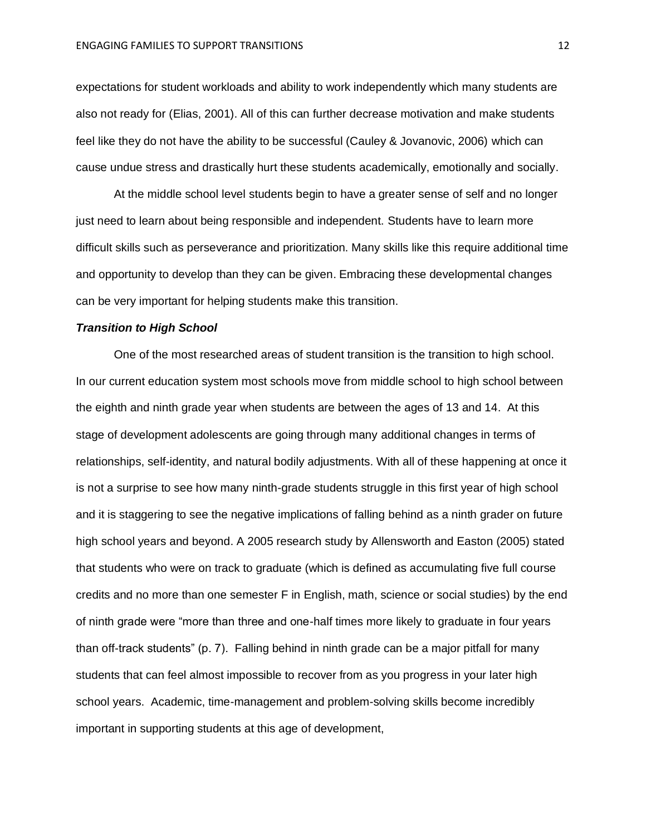expectations for student workloads and ability to work independently which many students are also not ready for (Elias, 2001). All of this can further decrease motivation and make students feel like they do not have the ability to be successful (Cauley & Jovanovic, 2006) which can cause undue stress and drastically hurt these students academically, emotionally and socially.

At the middle school level students begin to have a greater sense of self and no longer just need to learn about being responsible and independent. Students have to learn more difficult skills such as perseverance and prioritization. Many skills like this require additional time and opportunity to develop than they can be given. Embracing these developmental changes can be very important for helping students make this transition.

#### *Transition to High School*

One of the most researched areas of student transition is the transition to high school. In our current education system most schools move from middle school to high school between the eighth and ninth grade year when students are between the ages of 13 and 14. At this stage of development adolescents are going through many additional changes in terms of relationships, self-identity, and natural bodily adjustments. With all of these happening at once it is not a surprise to see how many ninth-grade students struggle in this first year of high school and it is staggering to see the negative implications of falling behind as a ninth grader on future high school years and beyond. A 2005 research study by Allensworth and Easton (2005) stated that students who were on track to graduate (which is defined as accumulating five full course credits and no more than one semester F in English, math, science or social studies) by the end of ninth grade were "more than three and one-half times more likely to graduate in four years than off-track students" (p. 7). Falling behind in ninth grade can be a major pitfall for many students that can feel almost impossible to recover from as you progress in your later high school years. Academic, time-management and problem-solving skills become incredibly important in supporting students at this age of development,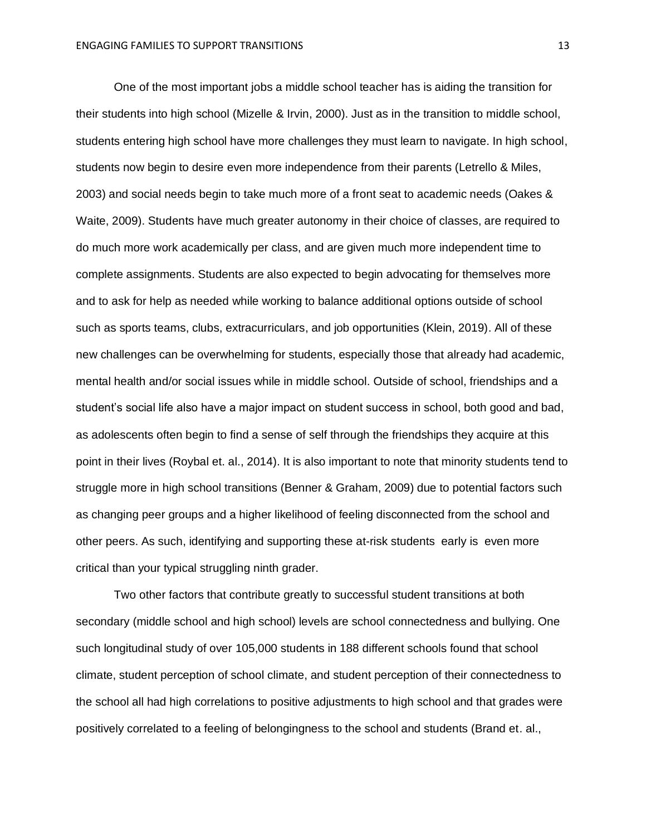One of the most important jobs a middle school teacher has is aiding the transition for their students into high school (Mizelle & Irvin, 2000). Just as in the transition to middle school, students entering high school have more challenges they must learn to navigate. In high school, students now begin to desire even more independence from their parents (Letrello & Miles, 2003) and social needs begin to take much more of a front seat to academic needs (Oakes & Waite, 2009). Students have much greater autonomy in their choice of classes, are required to do much more work academically per class, and are given much more independent time to complete assignments. Students are also expected to begin advocating for themselves more and to ask for help as needed while working to balance additional options outside of school such as sports teams, clubs, extracurriculars, and job opportunities (Klein, 2019). All of these new challenges can be overwhelming for students, especially those that already had academic, mental health and/or social issues while in middle school. Outside of school, friendships and a student's social life also have a major impact on student success in school, both good and bad, as adolescents often begin to find a sense of self through the friendships they acquire at this point in their lives (Roybal et. al., 2014). It is also important to note that minority students tend to struggle more in high school transitions (Benner & Graham, 2009) due to potential factors such as changing peer groups and a higher likelihood of feeling disconnected from the school and other peers. As such, identifying and supporting these at-risk students early is even more critical than your typical struggling ninth grader.

Two other factors that contribute greatly to successful student transitions at both secondary (middle school and high school) levels are school connectedness and bullying. One such longitudinal study of over 105,000 students in 188 different schools found that school climate, student perception of school climate, and student perception of their connectedness to the school all had high correlations to positive adjustments to high school and that grades were positively correlated to a feeling of belongingness to the school and students (Brand et. al.,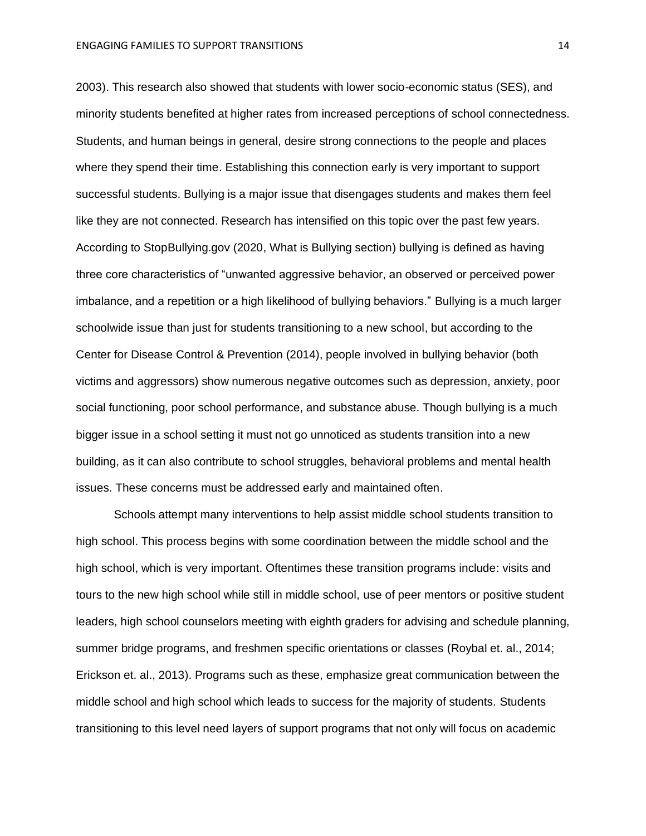2003). This research also showed that students with lower socio-economic status (SES), and minority students benefited at higher rates from increased perceptions of school connectedness. Students, and human beings in general, desire strong connections to the people and places where they spend their time. Establishing this connection early is very important to support successful students. Bullying is a major issue that disengages students and makes them feel like they are not connected. Research has intensified on this topic over the past few years. According to StopBullying.gov (2020, What is Bullying section) bullying is defined as having three core characteristics of "unwanted aggressive behavior, an observed or perceived power imbalance, and a repetition or a high likelihood of bullying behaviors." Bullying is a much larger schoolwide issue than just for students transitioning to a new school, but according to the Center for Disease Control & Prevention (2014), people involved in bullying behavior (both victims and aggressors) show numerous negative outcomes such as depression, anxiety, poor social functioning, poor school performance, and substance abuse. Though bullying is a much bigger issue in a school setting it must not go unnoticed as students transition into a new building, as it can also contribute to school struggles, behavioral problems and mental health issues. These concerns must be addressed early and maintained often.

Schools attempt many interventions to help assist middle school students transition to high school. This process begins with some coordination between the middle school and the high school, which is very important. Oftentimes these transition programs include: visits and tours to the new high school while still in middle school, use of peer mentors or positive student leaders, high school counselors meeting with eighth graders for advising and schedule planning, summer bridge programs, and freshmen specific orientations or classes (Roybal et. al., 2014; Erickson et. al., 2013). Programs such as these, emphasize great communication between the middle school and high school which leads to success for the majority of students. Students transitioning to this level need layers of support programs that not only will focus on academic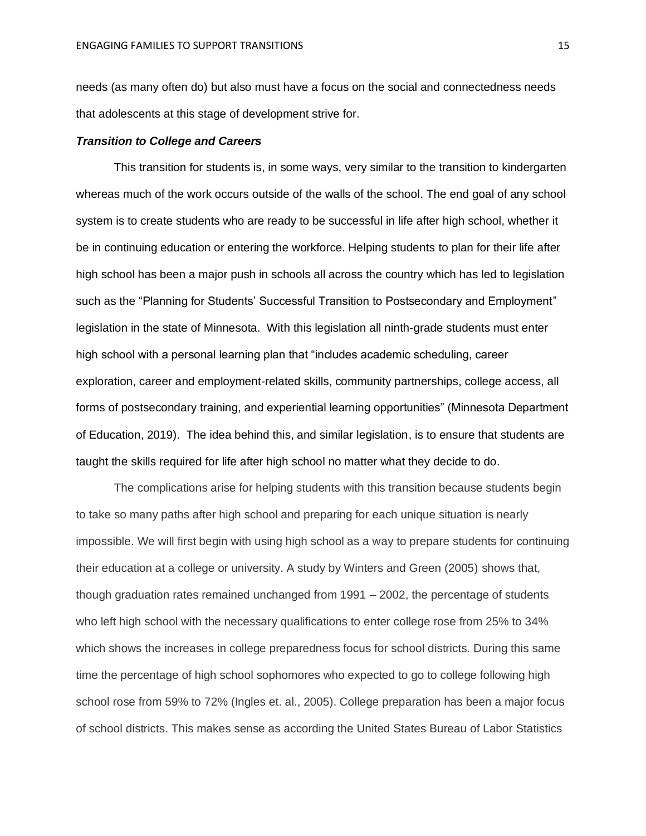needs (as many often do) but also must have a focus on the social and connectedness needs that adolescents at this stage of development strive for.

#### *Transition to College and Careers*

This transition for students is, in some ways, very similar to the transition to kindergarten whereas much of the work occurs outside of the walls of the school. The end goal of any school system is to create students who are ready to be successful in life after high school, whether it be in continuing education or entering the workforce. Helping students to plan for their life after high school has been a major push in schools all across the country which has led to legislation such as the "Planning for Students' Successful Transition to Postsecondary and Employment" legislation in the state of Minnesota. With this legislation all ninth-grade students must enter high school with a personal learning plan that "includes academic scheduling, career exploration, career and employment-related skills, community partnerships, college access, all forms of postsecondary training, and experiential learning opportunities" (Minnesota Department of Education, 2019). The idea behind this, and similar legislation, is to ensure that students are taught the skills required for life after high school no matter what they decide to do.

The complications arise for helping students with this transition because students begin to take so many paths after high school and preparing for each unique situation is nearly impossible. We will first begin with using high school as a way to prepare students for continuing their education at a college or university. A study by Winters and Green (2005) shows that, though graduation rates remained unchanged from 1991 – 2002, the percentage of students who left high school with the necessary qualifications to enter college rose from 25% to 34% which shows the increases in college preparedness focus for school districts. During this same time the percentage of high school sophomores who expected to go to college following high school rose from 59% to 72% (Ingles et. al., 2005). College preparation has been a major focus of school districts. This makes sense as according the United States Bureau of Labor Statistics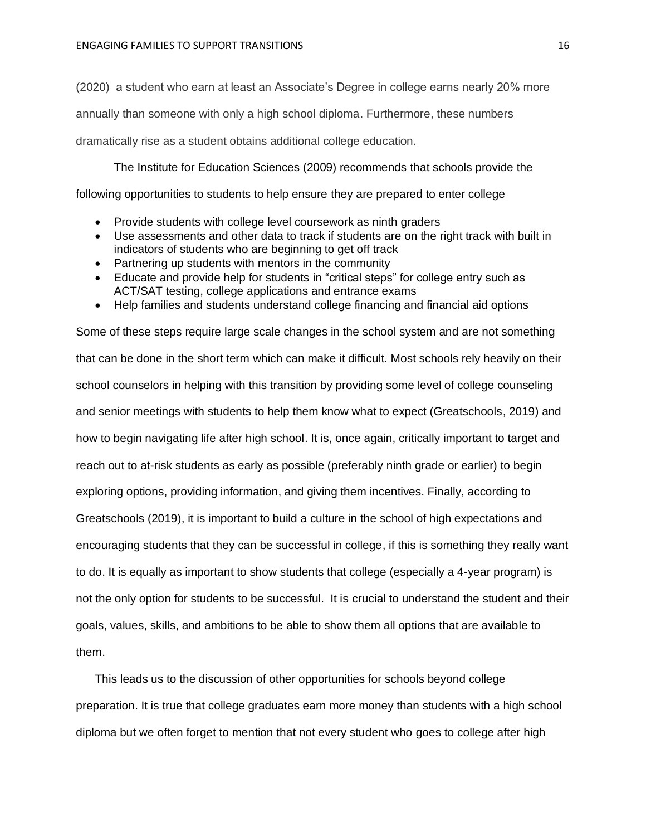(2020) a student who earn at least an Associate's Degree in college earns nearly 20% more annually than someone with only a high school diploma. Furthermore, these numbers dramatically rise as a student obtains additional college education.

The Institute for Education Sciences (2009) recommends that schools provide the following opportunities to students to help ensure they are prepared to enter college

- Provide students with college level coursework as ninth graders
- Use assessments and other data to track if students are on the right track with built in indicators of students who are beginning to get off track
- Partnering up students with mentors in the community
- Educate and provide help for students in "critical steps" for college entry such as ACT/SAT testing, college applications and entrance exams
- Help families and students understand college financing and financial aid options

Some of these steps require large scale changes in the school system and are not something that can be done in the short term which can make it difficult. Most schools rely heavily on their school counselors in helping with this transition by providing some level of college counseling and senior meetings with students to help them know what to expect (Greatschools, 2019) and how to begin navigating life after high school. It is, once again, critically important to target and reach out to at-risk students as early as possible (preferably ninth grade or earlier) to begin exploring options, providing information, and giving them incentives. Finally, according to Greatschools (2019), it is important to build a culture in the school of high expectations and encouraging students that they can be successful in college, if this is something they really want to do. It is equally as important to show students that college (especially a 4-year program) is not the only option for students to be successful. It is crucial to understand the student and their goals, values, skills, and ambitions to be able to show them all options that are available to them.

This leads us to the discussion of other opportunities for schools beyond college preparation. It is true that college graduates earn more money than students with a high school diploma but we often forget to mention that not every student who goes to college after high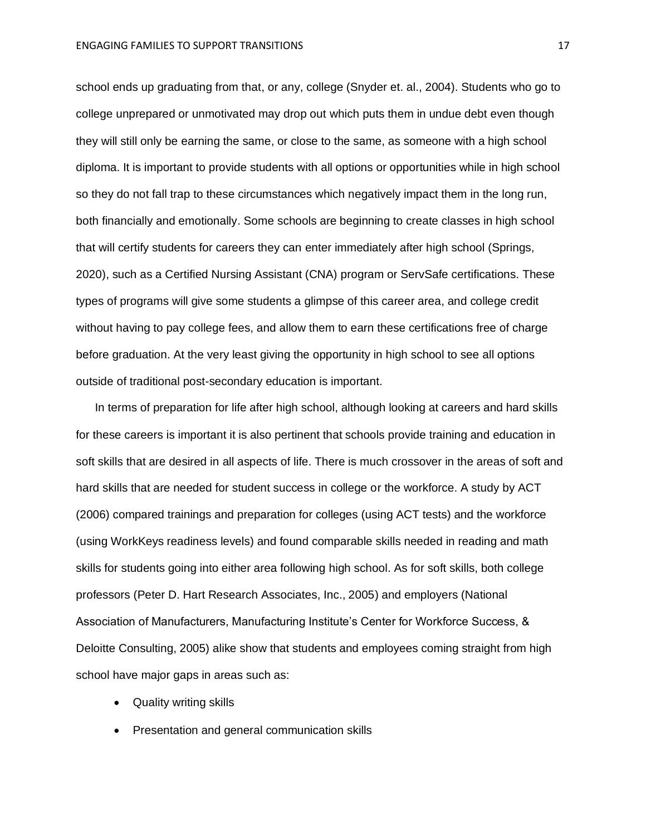school ends up graduating from that, or any, college (Snyder et. al., 2004). Students who go to college unprepared or unmotivated may drop out which puts them in undue debt even though they will still only be earning the same, or close to the same, as someone with a high school diploma. It is important to provide students with all options or opportunities while in high school so they do not fall trap to these circumstances which negatively impact them in the long run, both financially and emotionally. Some schools are beginning to create classes in high school that will certify students for careers they can enter immediately after high school (Springs, 2020), such as a Certified Nursing Assistant (CNA) program or ServSafe certifications. These types of programs will give some students a glimpse of this career area, and college credit without having to pay college fees, and allow them to earn these certifications free of charge before graduation. At the very least giving the opportunity in high school to see all options outside of traditional post-secondary education is important.

In terms of preparation for life after high school, although looking at careers and hard skills for these careers is important it is also pertinent that schools provide training and education in soft skills that are desired in all aspects of life. There is much crossover in the areas of soft and hard skills that are needed for student success in college or the workforce. A study by ACT (2006) compared trainings and preparation for colleges (using ACT tests) and the workforce (using WorkKeys readiness levels) and found comparable skills needed in reading and math skills for students going into either area following high school. As for soft skills, both college professors (Peter D. Hart Research Associates, Inc., 2005) and employers (National Association of Manufacturers, Manufacturing Institute's Center for Workforce Success, & Deloitte Consulting, 2005) alike show that students and employees coming straight from high school have major gaps in areas such as:

- Quality writing skills
- Presentation and general communication skills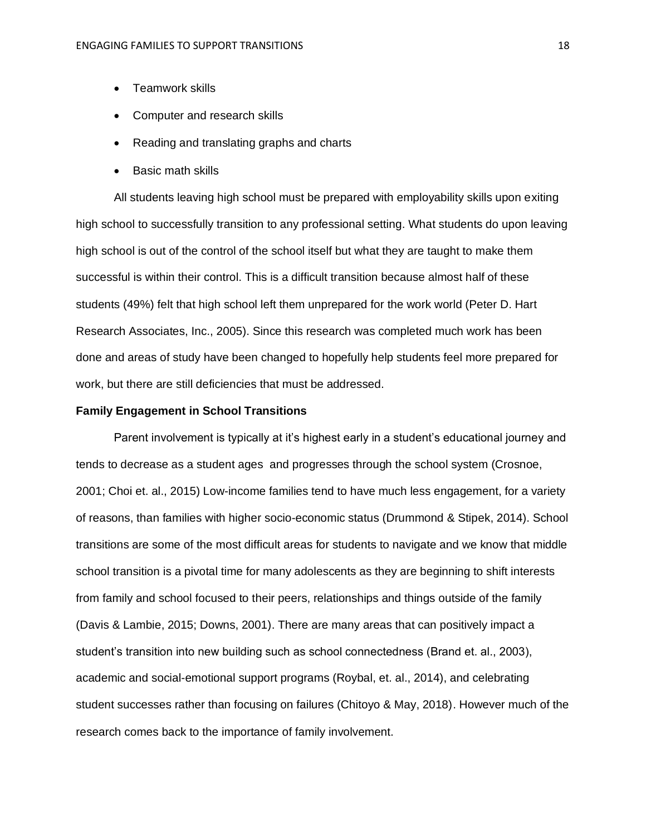- Teamwork skills
- Computer and research skills
- Reading and translating graphs and charts
- Basic math skills

All students leaving high school must be prepared with employability skills upon exiting high school to successfully transition to any professional setting. What students do upon leaving high school is out of the control of the school itself but what they are taught to make them successful is within their control. This is a difficult transition because almost half of these students (49%) felt that high school left them unprepared for the work world (Peter D. Hart Research Associates, Inc., 2005). Since this research was completed much work has been done and areas of study have been changed to hopefully help students feel more prepared for work, but there are still deficiencies that must be addressed.

#### **Family Engagement in School Transitions**

Parent involvement is typically at it's highest early in a student's educational journey and tends to decrease as a student ages and progresses through the school system (Crosnoe, 2001; Choi et. al., 2015) Low-income families tend to have much less engagement, for a variety of reasons, than families with higher socio-economic status (Drummond & Stipek, 2014). School transitions are some of the most difficult areas for students to navigate and we know that middle school transition is a pivotal time for many adolescents as they are beginning to shift interests from family and school focused to their peers, relationships and things outside of the family (Davis & Lambie, 2015; Downs, 2001). There are many areas that can positively impact a student's transition into new building such as school connectedness (Brand et. al., 2003), academic and social-emotional support programs (Roybal, et. al., 2014), and celebrating student successes rather than focusing on failures (Chitoyo & May, 2018). However much of the research comes back to the importance of family involvement.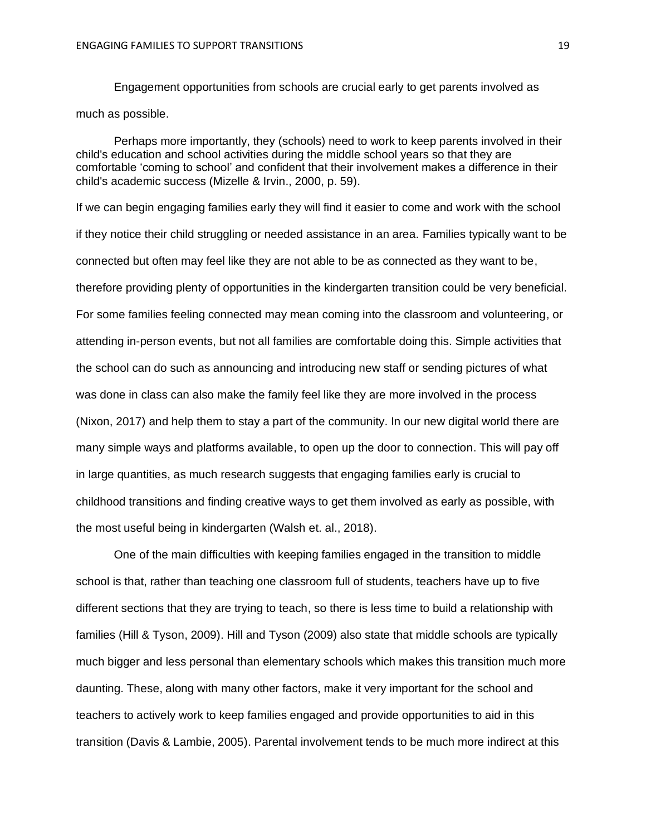Engagement opportunities from schools are crucial early to get parents involved as much as possible.

Perhaps more importantly, they (schools) need to work to keep parents involved in their child's education and school activities during the middle school years so that they are comfortable 'coming to school' and confident that their involvement makes a difference in their child's academic success (Mizelle & Irvin., 2000, p. 59).

If we can begin engaging families early they will find it easier to come and work with the school if they notice their child struggling or needed assistance in an area. Families typically want to be connected but often may feel like they are not able to be as connected as they want to be, therefore providing plenty of opportunities in the kindergarten transition could be very beneficial. For some families feeling connected may mean coming into the classroom and volunteering, or attending in-person events, but not all families are comfortable doing this. Simple activities that the school can do such as announcing and introducing new staff or sending pictures of what was done in class can also make the family feel like they are more involved in the process (Nixon, 2017) and help them to stay a part of the community. In our new digital world there are many simple ways and platforms available, to open up the door to connection. This will pay off in large quantities, as much research suggests that engaging families early is crucial to childhood transitions and finding creative ways to get them involved as early as possible, with the most useful being in kindergarten (Walsh et. al., 2018).

One of the main difficulties with keeping families engaged in the transition to middle school is that, rather than teaching one classroom full of students, teachers have up to five different sections that they are trying to teach, so there is less time to build a relationship with families (Hill & Tyson, 2009). Hill and Tyson (2009) also state that middle schools are typically much bigger and less personal than elementary schools which makes this transition much more daunting. These, along with many other factors, make it very important for the school and teachers to actively work to keep families engaged and provide opportunities to aid in this transition (Davis & Lambie, 2005). Parental involvement tends to be much more indirect at this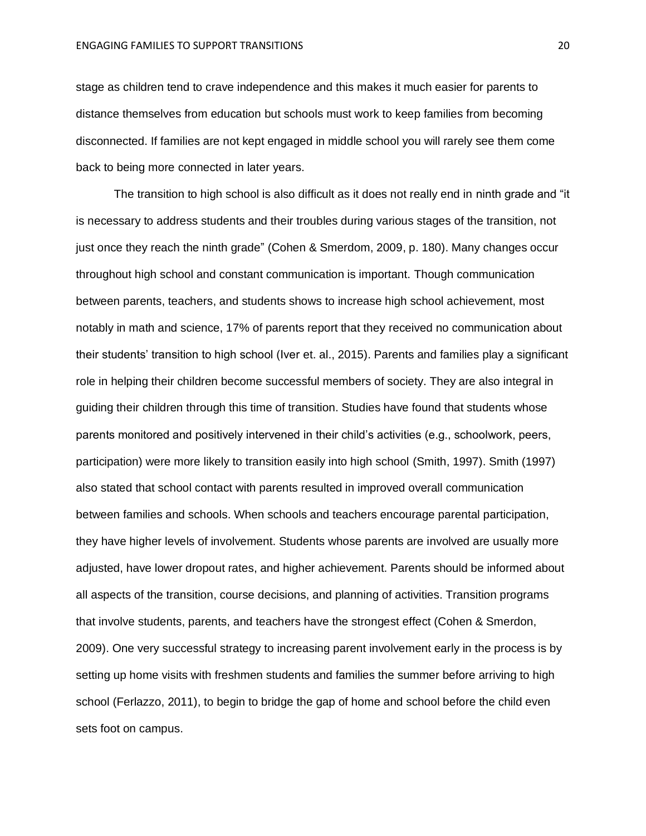stage as children tend to crave independence and this makes it much easier for parents to distance themselves from education but schools must work to keep families from becoming disconnected. If families are not kept engaged in middle school you will rarely see them come back to being more connected in later years.

The transition to high school is also difficult as it does not really end in ninth grade and "it is necessary to address students and their troubles during various stages of the transition, not just once they reach the ninth grade" (Cohen & Smerdom, 2009, p. 180). Many changes occur throughout high school and constant communication is important. Though communication between parents, teachers, and students shows to increase high school achievement, most notably in math and science, 17% of parents report that they received no communication about their students' transition to high school (Iver et. al., 2015). Parents and families play a significant role in helping their children become successful members of society. They are also integral in guiding their children through this time of transition. Studies have found that students whose parents monitored and positively intervened in their child's activities (e.g., schoolwork, peers, participation) were more likely to transition easily into high school (Smith, 1997). Smith (1997) also stated that school contact with parents resulted in improved overall communication between families and schools. When schools and teachers encourage parental participation, they have higher levels of involvement. Students whose parents are involved are usually more adjusted, have lower dropout rates, and higher achievement. Parents should be informed about all aspects of the transition, course decisions, and planning of activities. Transition programs that involve students, parents, and teachers have the strongest effect (Cohen & Smerdon, 2009). One very successful strategy to increasing parent involvement early in the process is by setting up home visits with freshmen students and families the summer before arriving to high school (Ferlazzo, 2011), to begin to bridge the gap of home and school before the child even sets foot on campus.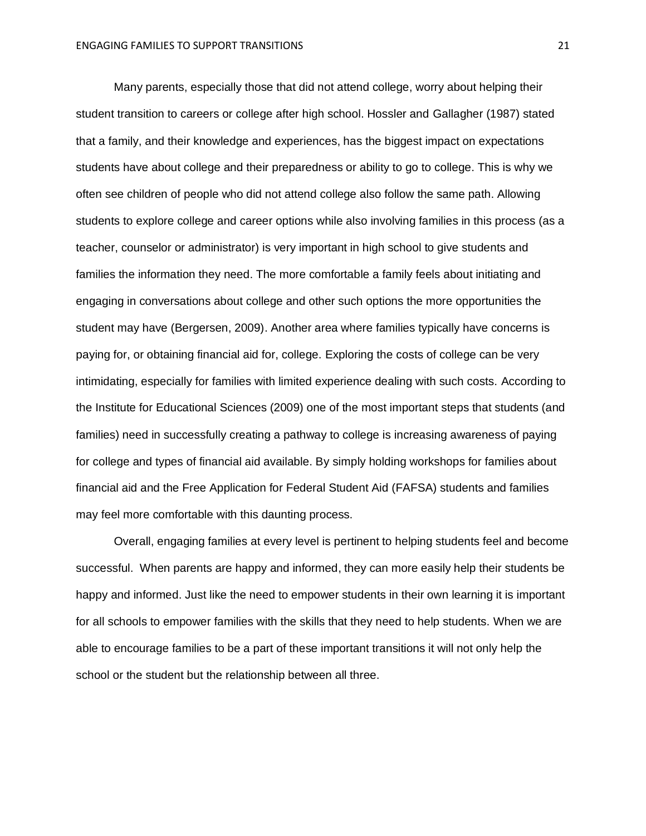Many parents, especially those that did not attend college, worry about helping their student transition to careers or college after high school. Hossler and Gallagher (1987) stated that a family, and their knowledge and experiences, has the biggest impact on expectations students have about college and their preparedness or ability to go to college. This is why we often see children of people who did not attend college also follow the same path. Allowing students to explore college and career options while also involving families in this process (as a teacher, counselor or administrator) is very important in high school to give students and families the information they need. The more comfortable a family feels about initiating and engaging in conversations about college and other such options the more opportunities the student may have (Bergersen, 2009). Another area where families typically have concerns is paying for, or obtaining financial aid for, college. Exploring the costs of college can be very intimidating, especially for families with limited experience dealing with such costs. According to the Institute for Educational Sciences (2009) one of the most important steps that students (and families) need in successfully creating a pathway to college is increasing awareness of paying for college and types of financial aid available. By simply holding workshops for families about financial aid and the Free Application for Federal Student Aid (FAFSA) students and families may feel more comfortable with this daunting process.

Overall, engaging families at every level is pertinent to helping students feel and become successful. When parents are happy and informed, they can more easily help their students be happy and informed. Just like the need to empower students in their own learning it is important for all schools to empower families with the skills that they need to help students. When we are able to encourage families to be a part of these important transitions it will not only help the school or the student but the relationship between all three.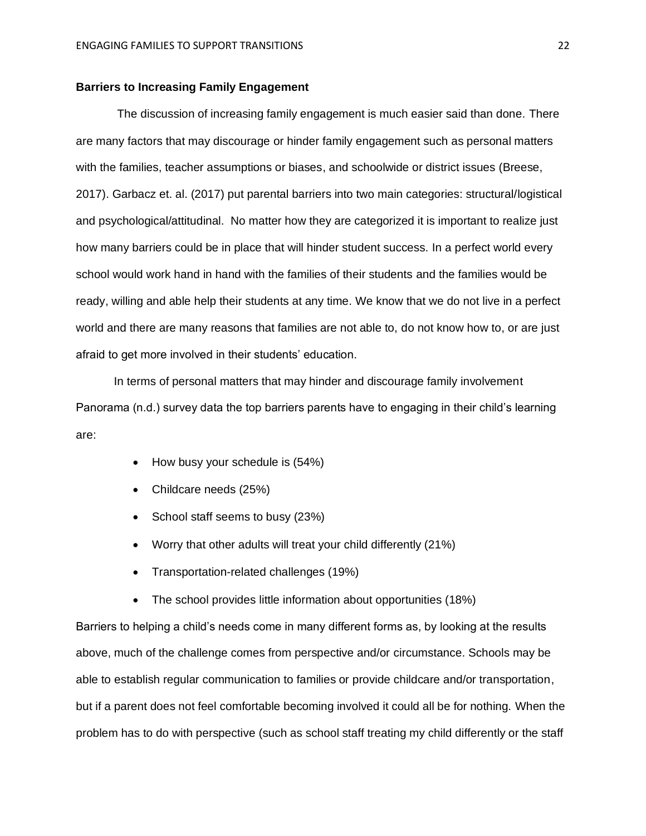#### **Barriers to Increasing Family Engagement**

The discussion of increasing family engagement is much easier said than done. There are many factors that may discourage or hinder family engagement such as personal matters with the families, teacher assumptions or biases, and schoolwide or district issues (Breese, 2017). Garbacz et. al. (2017) put parental barriers into two main categories: structural/logistical and psychological/attitudinal. No matter how they are categorized it is important to realize just how many barriers could be in place that will hinder student success. In a perfect world every school would work hand in hand with the families of their students and the families would be ready, willing and able help their students at any time. We know that we do not live in a perfect world and there are many reasons that families are not able to, do not know how to, or are just afraid to get more involved in their students' education.

In terms of personal matters that may hinder and discourage family involvement Panorama (n.d.) survey data the top barriers parents have to engaging in their child's learning are:

- How busy your schedule is  $(54%)$
- Childcare needs (25%)
- School staff seems to busy (23%)
- Worry that other adults will treat your child differently (21%)
- Transportation-related challenges (19%)
- The school provides little information about opportunities (18%)

Barriers to helping a child's needs come in many different forms as, by looking at the results above, much of the challenge comes from perspective and/or circumstance. Schools may be able to establish regular communication to families or provide childcare and/or transportation, but if a parent does not feel comfortable becoming involved it could all be for nothing. When the problem has to do with perspective (such as school staff treating my child differently or the staff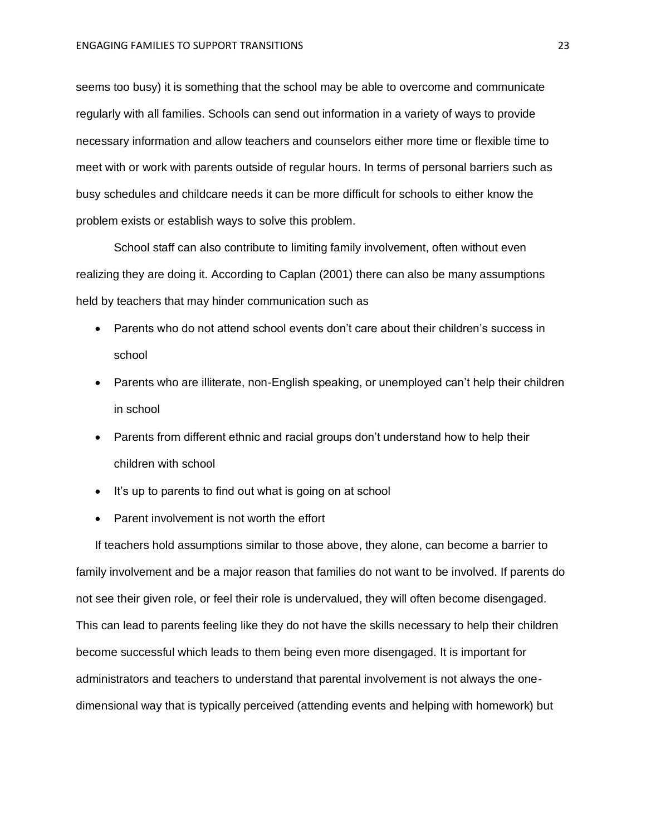seems too busy) it is something that the school may be able to overcome and communicate regularly with all families. Schools can send out information in a variety of ways to provide necessary information and allow teachers and counselors either more time or flexible time to meet with or work with parents outside of regular hours. In terms of personal barriers such as busy schedules and childcare needs it can be more difficult for schools to either know the problem exists or establish ways to solve this problem.

School staff can also contribute to limiting family involvement, often without even realizing they are doing it. According to Caplan (2001) there can also be many assumptions held by teachers that may hinder communication such as

- Parents who do not attend school events don't care about their children's success in school
- Parents who are illiterate, non-English speaking, or unemployed can't help their children in school
- Parents from different ethnic and racial groups don't understand how to help their children with school
- It's up to parents to find out what is going on at school
- Parent involvement is not worth the effort

If teachers hold assumptions similar to those above, they alone, can become a barrier to family involvement and be a major reason that families do not want to be involved. If parents do not see their given role, or feel their role is undervalued, they will often become disengaged. This can lead to parents feeling like they do not have the skills necessary to help their children become successful which leads to them being even more disengaged. It is important for administrators and teachers to understand that parental involvement is not always the onedimensional way that is typically perceived (attending events and helping with homework) but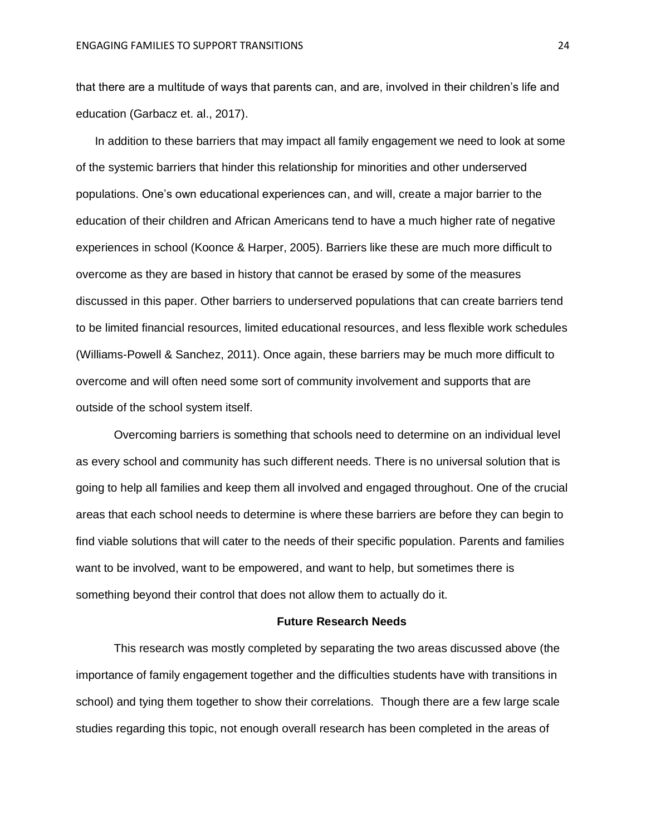that there are a multitude of ways that parents can, and are, involved in their children's life and education (Garbacz et. al., 2017).

In addition to these barriers that may impact all family engagement we need to look at some of the systemic barriers that hinder this relationship for minorities and other underserved populations. One's own educational experiences can, and will, create a major barrier to the education of their children and African Americans tend to have a much higher rate of negative experiences in school (Koonce & Harper, 2005). Barriers like these are much more difficult to overcome as they are based in history that cannot be erased by some of the measures discussed in this paper. Other barriers to underserved populations that can create barriers tend to be limited financial resources, limited educational resources, and less flexible work schedules (Williams-Powell & Sanchez, 2011). Once again, these barriers may be much more difficult to overcome and will often need some sort of community involvement and supports that are outside of the school system itself.

Overcoming barriers is something that schools need to determine on an individual level as every school and community has such different needs. There is no universal solution that is going to help all families and keep them all involved and engaged throughout. One of the crucial areas that each school needs to determine is where these barriers are before they can begin to find viable solutions that will cater to the needs of their specific population. Parents and families want to be involved, want to be empowered, and want to help, but sometimes there is something beyond their control that does not allow them to actually do it.

#### **Future Research Needs**

This research was mostly completed by separating the two areas discussed above (the importance of family engagement together and the difficulties students have with transitions in school) and tying them together to show their correlations. Though there are a few large scale studies regarding this topic, not enough overall research has been completed in the areas of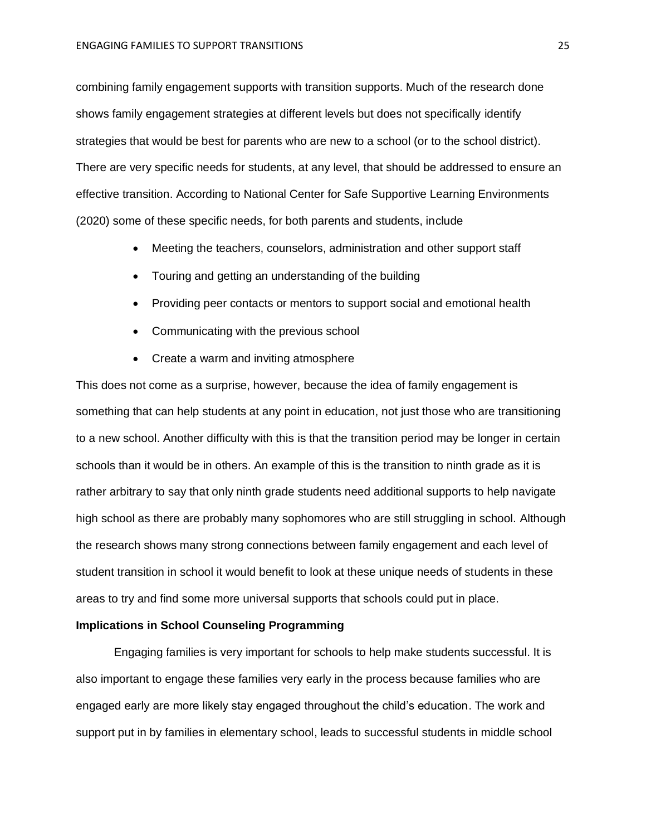combining family engagement supports with transition supports. Much of the research done shows family engagement strategies at different levels but does not specifically identify strategies that would be best for parents who are new to a school (or to the school district). There are very specific needs for students, at any level, that should be addressed to ensure an effective transition. According to National Center for Safe Supportive Learning Environments (2020) some of these specific needs, for both parents and students, include

- Meeting the teachers, counselors, administration and other support staff
- Touring and getting an understanding of the building
- Providing peer contacts or mentors to support social and emotional health
- Communicating with the previous school
- Create a warm and inviting atmosphere

This does not come as a surprise, however, because the idea of family engagement is something that can help students at any point in education, not just those who are transitioning to a new school. Another difficulty with this is that the transition period may be longer in certain schools than it would be in others. An example of this is the transition to ninth grade as it is rather arbitrary to say that only ninth grade students need additional supports to help navigate high school as there are probably many sophomores who are still struggling in school. Although the research shows many strong connections between family engagement and each level of student transition in school it would benefit to look at these unique needs of students in these areas to try and find some more universal supports that schools could put in place.

#### **Implications in School Counseling Programming**

Engaging families is very important for schools to help make students successful. It is also important to engage these families very early in the process because families who are engaged early are more likely stay engaged throughout the child's education. The work and support put in by families in elementary school, leads to successful students in middle school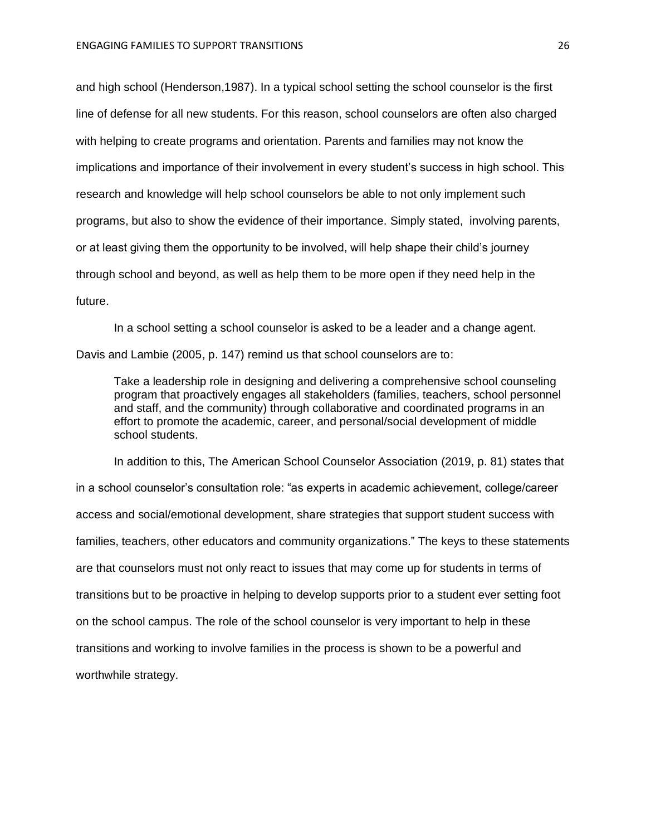and high school (Henderson,1987). In a typical school setting the school counselor is the first line of defense for all new students. For this reason, school counselors are often also charged with helping to create programs and orientation. Parents and families may not know the implications and importance of their involvement in every student's success in high school. This research and knowledge will help school counselors be able to not only implement such programs, but also to show the evidence of their importance. Simply stated, involving parents, or at least giving them the opportunity to be involved, will help shape their child's journey through school and beyond, as well as help them to be more open if they need help in the future.

In a school setting a school counselor is asked to be a leader and a change agent. Davis and Lambie (2005, p. 147) remind us that school counselors are to:

Take a leadership role in designing and delivering a comprehensive school counseling program that proactively engages all stakeholders (families, teachers, school personnel and staff, and the community) through collaborative and coordinated programs in an effort to promote the academic, career, and personal/social development of middle school students.

In addition to this, The American School Counselor Association (2019, p. 81) states that in a school counselor's consultation role: "as experts in academic achievement, college/career access and social/emotional development, share strategies that support student success with families, teachers, other educators and community organizations." The keys to these statements are that counselors must not only react to issues that may come up for students in terms of transitions but to be proactive in helping to develop supports prior to a student ever setting foot on the school campus. The role of the school counselor is very important to help in these transitions and working to involve families in the process is shown to be a powerful and worthwhile strategy.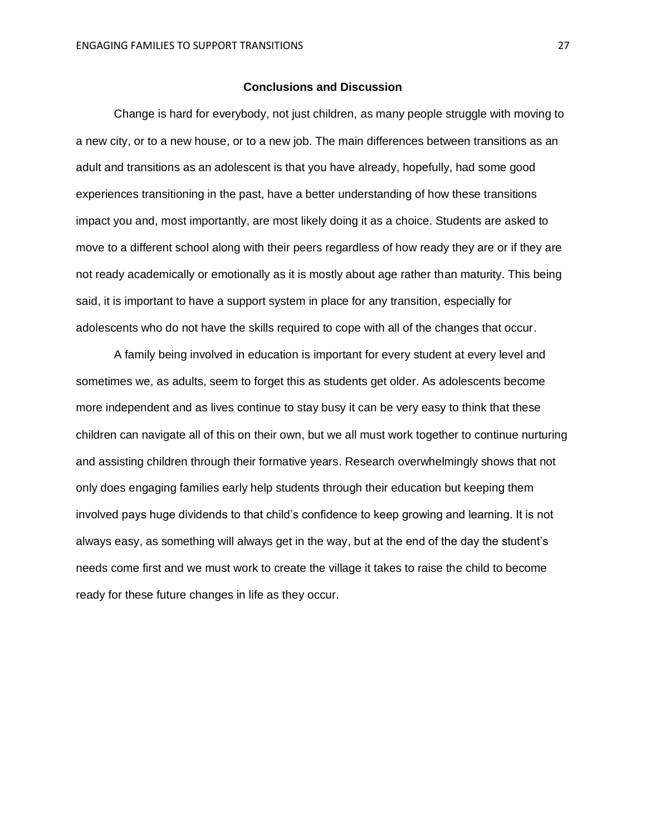#### **Conclusions and Discussion**

Change is hard for everybody, not just children, as many people struggle with moving to a new city, or to a new house, or to a new job. The main differences between transitions as an adult and transitions as an adolescent is that you have already, hopefully, had some good experiences transitioning in the past, have a better understanding of how these transitions impact you and, most importantly, are most likely doing it as a choice. Students are asked to move to a different school along with their peers regardless of how ready they are or if they are not ready academically or emotionally as it is mostly about age rather than maturity. This being said, it is important to have a support system in place for any transition, especially for adolescents who do not have the skills required to cope with all of the changes that occur.

A family being involved in education is important for every student at every level and sometimes we, as adults, seem to forget this as students get older. As adolescents become more independent and as lives continue to stay busy it can be very easy to think that these children can navigate all of this on their own, but we all must work together to continue nurturing and assisting children through their formative years. Research overwhelmingly shows that not only does engaging families early help students through their education but keeping them involved pays huge dividends to that child's confidence to keep growing and learning. It is not always easy, as something will always get in the way, but at the end of the day the student's needs come first and we must work to create the village it takes to raise the child to become ready for these future changes in life as they occur.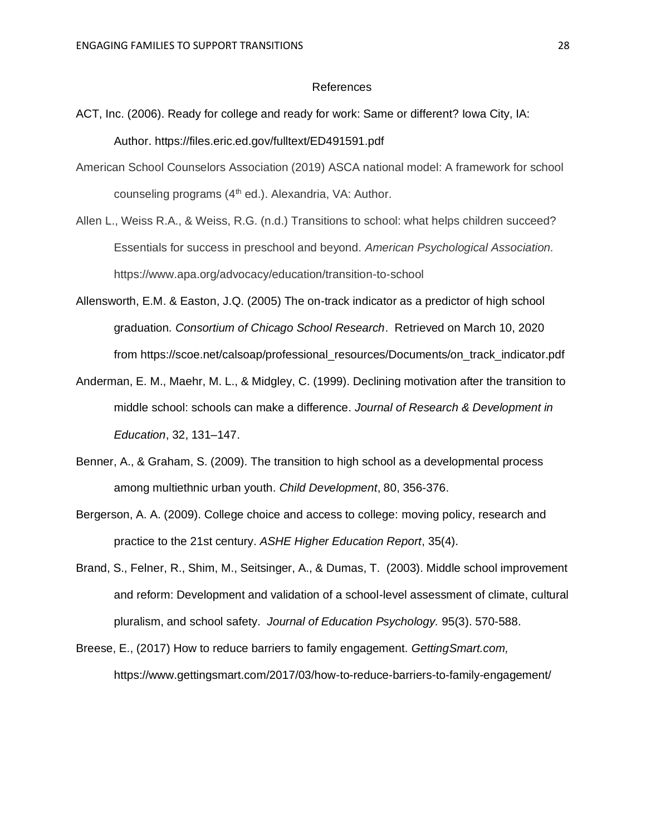#### References

- ACT, Inc. (2006). Ready for college and ready for work: Same or different? Iowa City, IA: Author. https://files.eric.ed.gov/fulltext/ED491591.pdf
- American School Counselors Association (2019) ASCA national model: A framework for school counseling programs  $(4<sup>th</sup>$  ed.). Alexandria, VA: Author.
- Allen L., Weiss R.A., & Weiss, R.G. (n.d.) Transitions to school: what helps children succeed? Essentials for success in preschool and beyond. *American Psychological Association.* https://www.apa.org/advocacy/education/transition-to-school
- Allensworth, E.M. & Easton, J.Q. (2005) The on-track indicator as a predictor of high school graduation*. Consortium of Chicago School Research*. Retrieved on March 10, 2020 from https://scoe.net/calsoap/professional\_resources/Documents/on\_track\_indicator.pdf
- Anderman, E. M., Maehr, M. L., & Midgley, C. (1999). Declining motivation after the transition to middle school: schools can make a difference. *Journal of Research & Development in Education*, 32, 131–147.
- Benner, A., & Graham, S. (2009). The transition to high school as a developmental process among multiethnic urban youth. *Child Development*, 80, 356-376.
- Bergerson, A. A. (2009). College choice and access to college: moving policy, research and practice to the 21st century. *ASHE Higher Education Report*, 35(4).
- Brand, S., Felner, R., Shim, M., Seitsinger, A., & Dumas, T. (2003). Middle school improvement and reform: Development and validation of a school-level assessment of climate, cultural pluralism, and school safety. *Journal of Education Psychology.* 95(3). 570-588.
- Breese, E., (2017) How to reduce barriers to family engagement. *GettingSmart.com,*  https://www.gettingsmart.com/2017/03/how-to-reduce-barriers-to-family-engagement/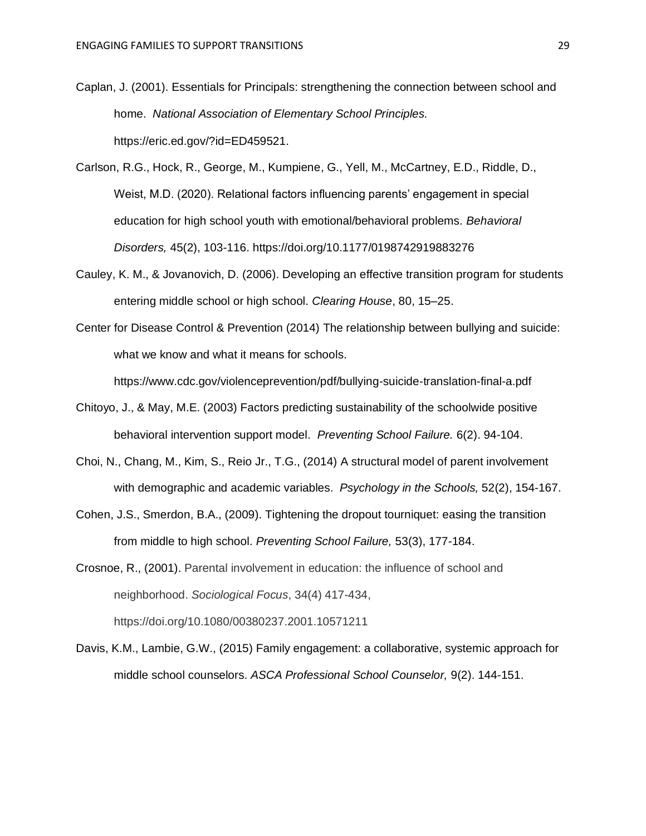- Caplan, J. (2001). Essentials for Principals: strengthening the connection between school and home. *National Association of Elementary School Principles.* https://eric.ed.gov/?id=ED459521.
- Carlson, R.G., Hock, R., George, M., Kumpiene, G., Yell, M., McCartney, E.D., Riddle, D., Weist, M.D. (2020). Relational factors influencing parents' engagement in special education for high school youth with emotional/behavioral problems. *Behavioral Disorders,* 45(2), 103-116. [https://doi.org/10.1177/0198742919883276](https://doi.org/10.1177%2F0198742919883276)
- Cauley, K. M., & Jovanovich, D. (2006). Developing an effective transition program for students entering middle school or high school. *Clearing House*, 80, 15–25.
- Center for Disease Control & Prevention (2014) The relationship between bullying and suicide: what we know and what it means for schools.

https://www.cdc.gov/violenceprevention/pdf/bullying-suicide-translation-final-a.pdf

- Chitoyo, J., & May, M.E. (2003) Factors predicting sustainability of the schoolwide positive behavioral intervention support model. *Preventing School Failure.* 6(2). 94-104.
- Choi, N., Chang, M., Kim, S., Reio Jr., T.G., (2014) A structural model of parent involvement with demographic and academic variables. *Psychology in the Schools,* 52(2), 154-167.
- Cohen, J.S., Smerdon, B.A., (2009). Tightening the dropout tourniquet: easing the transition from middle to high school. *Preventing School Failure,* 53(3), 177-184.

Crosnoe, R., (2001). Parental involvement in education: the influence of school and neighborhood. *Sociological Focus*, 34(4) 417-434, https://doi.org/10.1080/00380237.2001.10571211

Davis, K.M., Lambie, G.W., (2015) Family engagement: a collaborative, systemic approach for middle school counselors. *ASCA Professional School Counselor,* 9(2). 144-151.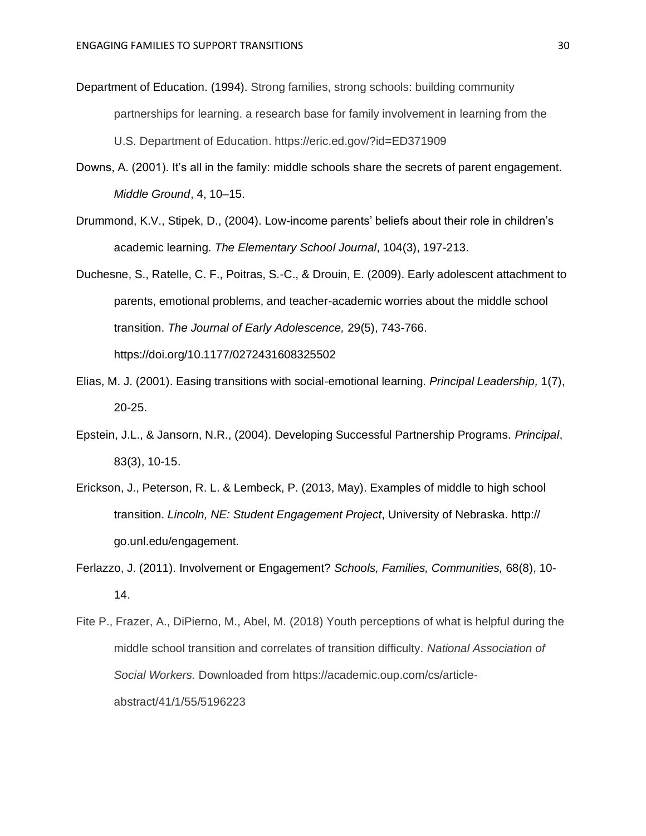- Department of Education. (1994). Strong families, strong schools: building community partnerships for learning. a research base for family involvement in learning from the U.S. Department of Education. https://eric.ed.gov/?id=ED371909
- Downs, A. (2001). It's all in the family: middle schools share the secrets of parent engagement. *Middle Ground*, 4, 10–15.
- Drummond, K.V., Stipek, D., (2004). Low-income parents' beliefs about their role in children's academic learning. *The Elementary School Journal*, 104(3), 197-213.
- Duchesne, S., Ratelle, C. F., Poitras, S.-C., & Drouin, E. (2009). Early adolescent attachment to parents, emotional problems, and teacher-academic worries about the middle school transition. *The Journal of Early Adolescence,* 29(5), 743-766. [https://doi.org/10.1177/0272431608325502](https://psycnet.apa.org/doi/10.1177/0272431608325502)
- Elias, M. J. (2001). Easing transitions with social-emotional learning. *Principal Leadership,* 1(7), 20-25.
- Epstein, J.L., & Jansorn, N.R., (2004). Developing Successful Partnership Programs. *Principal*, 83(3), 10-15.
- Erickson, J., Peterson, R. L. & Lembeck, P. (2013, May). Examples of middle to high school transition. *Lincoln, NE: Student Engagement Project*, University of Nebraska. http:// go.unl.edu/engagement.
- Ferlazzo, J. (2011). Involvement or Engagement? *Schools, Families, Communities,* 68(8), 10- 14.
- Fite P., Frazer, A., DiPierno, M., Abel, M. (2018) Youth perceptions of what is helpful during the middle school transition and correlates of transition difficulty. *National Association of Social Workers.* Downloaded from https://academic.oup.com/cs/articleabstract/41/1/55/5196223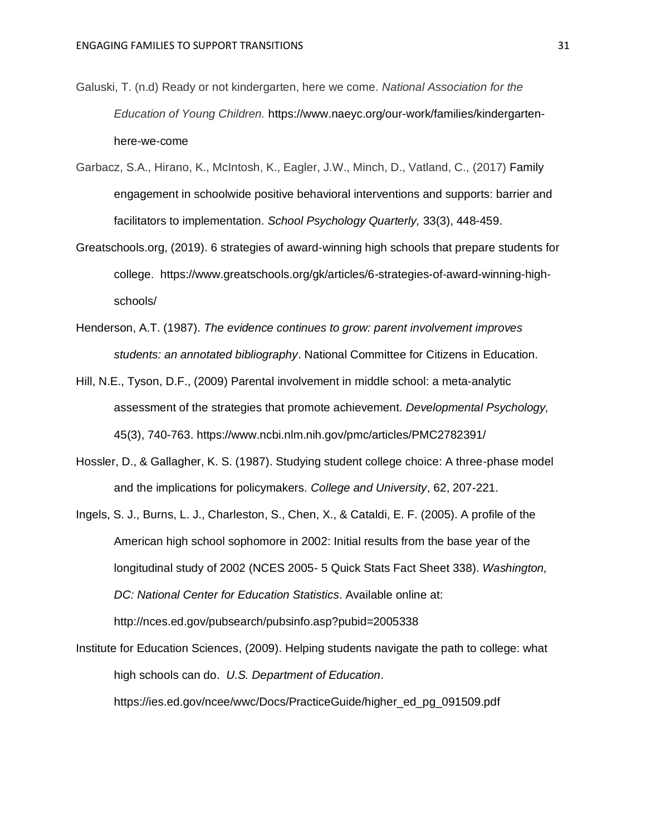- Galuski, T. (n.d) Ready or not kindergarten, here we come. *National Association for the Education of Young Children.* https://www.naeyc.org/our-work/families/kindergartenhere-we-come
- Garbacz, S.A., Hirano, K., McIntosh, K., Eagler, J.W., Minch, D., Vatland, C., (2017) Family engagement in schoolwide positive behavioral interventions and supports: barrier and facilitators to implementation. *School Psychology Quarterly,* 33(3), 448-459.
- Greatschools.org, (2019). 6 strategies of award-winning high schools that prepare students for college. https://www.greatschools.org/gk/articles/6-strategies-of-award-winning-highschools/
- Henderson, A.T. (1987). *The evidence continues to grow: parent involvement improves students: an annotated bibliography*. National Committee for Citizens in Education.
- Hill, N.E., Tyson, D.F., (2009) Parental involvement in middle school: a meta-analytic assessment of the strategies that promote achievement. *Developmental Psychology,*  45(3), 740-763. https://www.ncbi.nlm.nih.gov/pmc/articles/PMC2782391/
- Hossler, D., & Gallagher, K. S. (1987). Studying student college choice: A three-phase model and the implications for policymakers. *College and University*, 62, 207-221.
- Ingels, S. J., Burns, L. J., Charleston, S., Chen, X., & Cataldi, E. F. (2005). A profile of the American high school sophomore in 2002: Initial results from the base year of the longitudinal study of 2002 (NCES 2005- 5 Quick Stats Fact Sheet 338). *Washington, DC: National Center for Education Statistics*. Available online at: http://nces.ed.gov/pubsearch/pubsinfo.asp?pubid=2005338
- Institute for Education Sciences, (2009). Helping students navigate the path to college: what high schools can do. *U.S. Department of Education*. https://ies.ed.gov/ncee/wwc/Docs/PracticeGuide/higher\_ed\_pg\_091509.pdf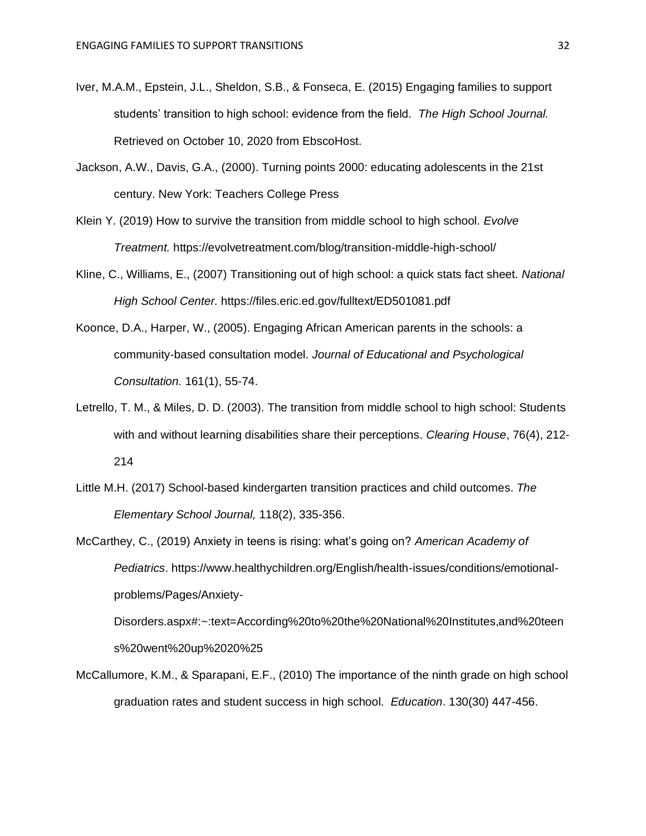- Iver, M.A.M., Epstein, J.L., Sheldon, S.B., & Fonseca, E. (2015) Engaging families to support students' transition to high school: evidence from the field. *The High School Journal.*  Retrieved on October 10, 2020 from EbscoHost.
- Jackson, A.W., Davis, G.A., (2000). Turning points 2000: educating adolescents in the 21st century. New York: Teachers College Press
- Klein Y. (2019) How to survive the transition from middle school to high school. *Evolve Treatment.* https://evolvetreatment.com/blog/transition-middle-high-school/
- Kline, C., Williams, E., (2007) Transitioning out of high school: a quick stats fact sheet. *National High School Center.* https://files.eric.ed.gov/fulltext/ED501081.pdf
- Koonce, D.A., Harper, W., (2005). Engaging African American parents in the schools: a community-based consultation model. *Journal of Educational and Psychological Consultation.* 161(1), 55-74.
- Letrello, T. M., & Miles, D. D. (2003). The transition from middle school to high school: Students with and without learning disabilities share their perceptions. *Clearing House*, 76(4), 212- 214
- Little M.H. (2017) School-based kindergarten transition practices and child outcomes. *The Elementary School Journal,* 118(2), 335-356.
- McCarthey, C., (2019) Anxiety in teens is rising: what's going on? *American Academy of Pediatrics*. https://www.healthychildren.org/English/health-issues/conditions/emotionalproblems/Pages/Anxiety-

Disorders.aspx#:~:text=According%20to%20the%20National%20Institutes,and%20teen s%20went%20up%2020%25

McCallumore, K.M., & Sparapani, E.F., (2010) The importance of the ninth grade on high school graduation rates and student success in high school. *Education*. 130(30) 447-456.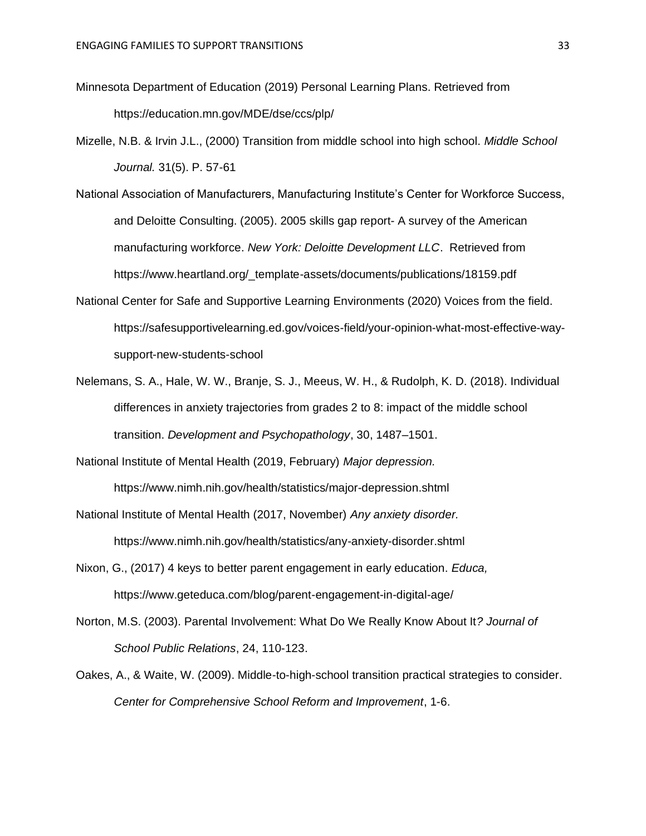- Minnesota Department of Education (2019) Personal Learning Plans. Retrieved from https://education.mn.gov/MDE/dse/ccs/plp/
- Mizelle, N.B. & Irvin J.L., (2000) Transition from middle school into high school. *Middle School Journal.* 31(5). P. 57-61
- National Association of Manufacturers, Manufacturing Institute's Center for Workforce Success, and Deloitte Consulting. (2005). 2005 skills gap report- A survey of the American manufacturing workforce. *New York: Deloitte Development LLC*. Retrieved from https://www.heartland.org/\_template-assets/documents/publications/18159.pdf
- National Center for Safe and Supportive Learning Environments (2020) Voices from the field. https://safesupportivelearning.ed.gov/voices-field/your-opinion-what-most-effective-waysupport-new-students-school
- Nelemans, S. A., Hale, W. W., Branje, S. J., Meeus, W. H., & Rudolph, K. D. (2018). Individual differences in anxiety trajectories from grades 2 to 8: impact of the middle school transition. *Development and Psychopathology*, 30, 1487–1501.
- National Institute of Mental Health (2019, February) *Major depression.*

https://www.nimh.nih.gov/health/statistics/major-depression.shtml

- National Institute of Mental Health (2017, November) *Any anxiety disorder.*  https://www.nimh.nih.gov/health/statistics/any-anxiety-disorder.shtml
- Nixon, G., (2017) 4 keys to better parent engagement in early education. *Educa,*  https://www.geteduca.com/blog/parent-engagement-in-digital-age/
- Norton, M.S. (2003). Parental Involvement: What Do We Really Know About It*? Journal of School Public Relations*, 24, 110-123.
- Oakes, A., & Waite, W. (2009). Middle-to-high-school transition practical strategies to consider. *Center for Comprehensive School Reform and Improvement*, 1-6.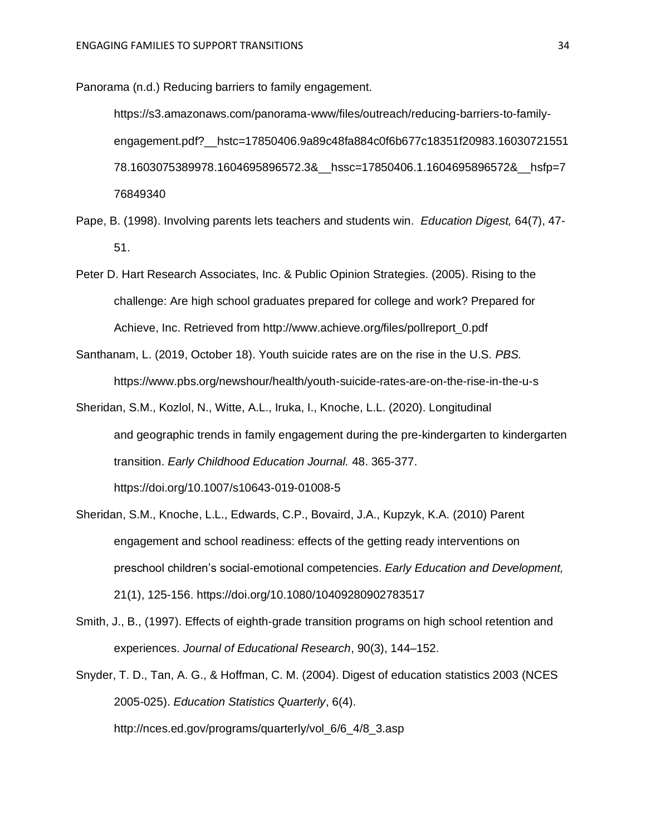Panorama (n.d.) Reducing barriers to family engagement.

https://s3.amazonaws.com/panorama-www/files/outreach/reducing-barriers-to-familyengagement.pdf?\_\_hstc=17850406.9a89c48fa884c0f6b677c18351f20983.16030721551 78.1603075389978.1604695896572.3&\_\_hssc=17850406.1.1604695896572&\_\_hsfp=7 76849340

- Pape, B. (1998). Involving parents lets teachers and students win. *Education Digest,* 64(7), 47- 51.
- Peter D. Hart Research Associates, Inc. & Public Opinion Strategies. (2005). Rising to the challenge: Are high school graduates prepared for college and work? Prepared for Achieve, Inc. Retrieved from http://www.achieve.org/files/pollreport\_0.pdf
- Santhanam, L. (2019, October 18). Youth suicide rates are on the rise in the U.S. *PBS.*  https://www.pbs.org/newshour/health/youth-suicide-rates-are-on-the-rise-in-the-u-s
- Sheridan, S.M., Kozlol, N., Witte, A.L., Iruka, I., Knoche, L.L. (2020). Longitudinal and geographic trends in family engagement during the pre-kindergarten to kindergarten transition. *Early Childhood Education Journal.* 48. 365-377. https://doi.org/10.1007/s10643-019-01008-5
- Sheridan, S.M., Knoche, L.L., Edwards, C.P., Bovaird, J.A., Kupzyk, K.A. (2010) Parent engagement and school readiness: effects of the getting ready interventions on preschool children's social-emotional competencies. *Early Education and Development,*  21(1), 125-156. https://doi.org[/10.1080/10409280902783517](https://dx.doi.org/10.1080%2F10409280902783517)
- Smith, J., B., (1997). Effects of eighth-grade transition programs on high school retention and experiences. *Journal of Educational Research*, 90(3), 144–152.
- Snyder, T. D., Tan, A. G., & Hoffman, C. M. (2004). Digest of education statistics 2003 (NCES 2005-025). *Education Statistics Quarterly*, 6(4). http://nces.ed.gov/programs/quarterly/vol\_6/6\_4/8\_3.asp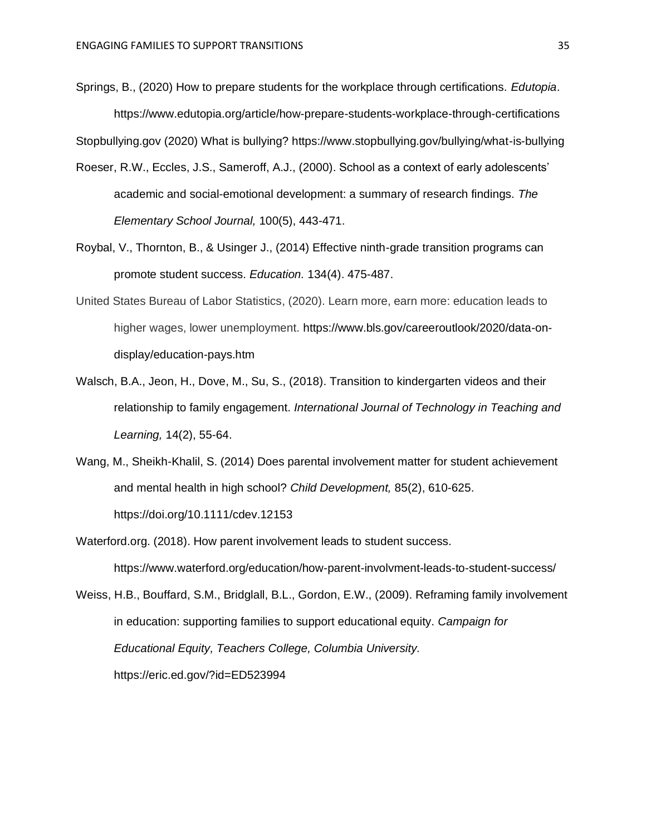Springs, B., (2020) How to prepare students for the workplace through certifications. *Edutopia*. https://www.edutopia.org/article/how-prepare-students-workplace-through-certifications

Stopbullying.gov (2020) What is bullying? https://www.stopbullying.gov/bullying/what-is-bullying

- Roeser, R.W., Eccles, J.S., Sameroff, A.J., (2000). School as a context of early adolescents' academic and social-emotional development: a summary of research findings. *The Elementary School Journal,* 100(5), 443-471.
- Roybal, V., Thornton, B., & Usinger J., (2014) Effective ninth-grade transition programs can promote student success. *Education.* 134(4). 475-487.
- United States Bureau of Labor Statistics, (2020). Learn more, earn more: education leads to higher wages, lower unemployment. https://www.bls.gov/careeroutlook/2020/data-ondisplay/education-pays.htm
- Walsch, B.A., Jeon, H., Dove, M., Su, S., (2018). Transition to kindergarten videos and their relationship to family engagement. *International Journal of Technology in Teaching and Learning,* 14(2), 55-64.
- Wang, M., Sheikh-Khalil, S. (2014) Does parental involvement matter for student achievement and mental health in high school? *Child Development,* 85(2), 610-625. https://doi.org/10.1111/cdev.12153

Waterford.org. (2018). How parent involvement leads to student success. https://www.waterford.org/education/how-parent-involvment-leads-to-student-success/

Weiss, H.B., Bouffard, S.M., Bridglall, B.L., Gordon, E.W., (2009). Reframing family involvement in education: supporting families to support educational equity. *Campaign for Educational Equity, Teachers College, Columbia University.*  https://eric.ed.gov/?id=ED523994